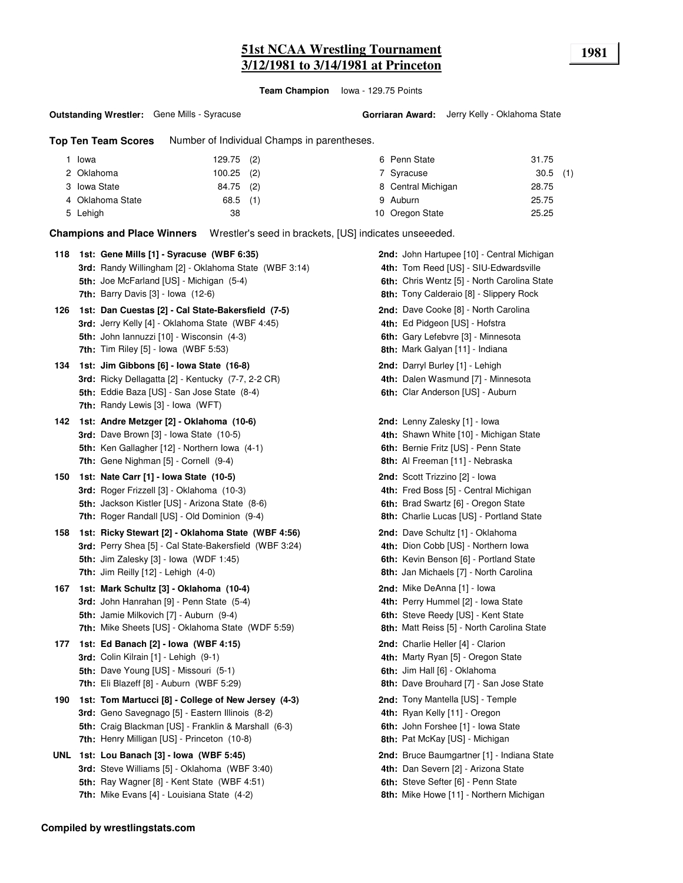# **51st NCAA Wrestling Tournament 1981 3/12/1981 to 3/14/1981 at Princeton**

**Team Champion** Iowa - 129.75 Points

#### **Outstanding Wrestler:** Gene Mills - Syracuse

**Top Ten Team Scores** Number of Individual Champs in parentheses.

| Iowa             | $129.75$ (2) | 6 Penn State       | 31.75      |
|------------------|--------------|--------------------|------------|
| 2 Oklahoma       | $100.25$ (2) | 7 Syracuse         | $30.5$ (1) |
| 3 Iowa State     | 84.75 (2)    | 8 Central Michigan | 28.75      |
| 4 Oklahoma State | $68.5$ (1)   | 9 Auburn           | 25.75      |
| 5 Lehigh         | 38           | 10 Oregon State    | 25.25      |

**Champions and Place Winners** Wrestler's seed in brackets, [US] indicates unseeeded.

| 118 | 1st: Gene Mills [1] - Syracuse (WBF 6:35)<br><b>3rd:</b> Randy Willingham [2] - Oklahoma State (WBF 3:14)<br>5th: Joe McFarland [US] - Michigan (5-4)<br><b>7th:</b> Barry Davis $[3]$ - Iowa $(12-6)$                | 2nd: John Hartupee [10] - Central Michigan<br>4th: Tom Reed [US] - SIU-Edwardsville<br>6th: Chris Wentz [5] - North Carolina State<br>8th: Tony Calderaio [8] - Slippery Rock |
|-----|-----------------------------------------------------------------------------------------------------------------------------------------------------------------------------------------------------------------------|-------------------------------------------------------------------------------------------------------------------------------------------------------------------------------|
| 126 | 1st: Dan Cuestas [2] - Cal State-Bakersfield (7-5)<br>3rd: Jerry Kelly [4] - Oklahoma State (WBF 4:45)<br>5th: John lannuzzi [10] - Wisconsin (4-3)<br>7th: Tim Riley [5] - Iowa (WBF 5:53)                           | <b>2nd:</b> Dave Cooke [8] - North Carolina<br>4th: Ed Pidgeon [US] - Hofstra<br>6th: Gary Lefebvre [3] - Minnesota<br>8th: Mark Galyan [11] - Indiana                        |
| 134 | 1st: Jim Gibbons [6] - Iowa State (16-8)<br>3rd: Ricky Dellagatta [2] - Kentucky (7-7, 2-2 CR)<br>5th: Eddie Baza [US] - San Jose State (8-4)<br><b>7th:</b> Randy Lewis [3] - Iowa (WFT)                             | 2nd: Darryl Burley [1] - Lehigh<br>4th: Dalen Wasmund [7] - Minnesota<br>6th: Clar Anderson [US] - Auburn                                                                     |
| 142 | 1st: Andre Metzger [2] - Oklahoma (10-6)<br><b>3rd:</b> Dave Brown [3] - Iowa State $(10-5)$<br>5th: Ken Gallagher [12] - Northern Iowa (4-1)<br>7th: Gene Nighman [5] - Cornell (9-4)                                | 2nd: Lenny Zalesky [1] - Iowa<br>4th: Shawn White [10] - Michigan State<br>6th: Bernie Fritz [US] - Penn State<br>8th: Al Freeman [11] - Nebraska                             |
| 150 | 1st: Nate Carr [1] - Iowa State (10-5)<br>3rd: Roger Frizzell [3] - Oklahoma (10-3)<br>5th: Jackson Kistler [US] - Arizona State (8-6)<br>7th: Roger Randall [US] - Old Dominion (9-4)                                | 2nd: Scott Trizzino [2] - Iowa<br>4th: Fred Boss [5] - Central Michigan<br>6th: Brad Swartz [6] - Oregon State<br>8th: Charlie Lucas [US] - Portland State                    |
| 158 | 1st: Ricky Stewart [2] - Oklahoma State (WBF 4:56)<br>3rd: Perry Shea [5] - Cal State-Bakersfield (WBF 3:24)<br><b>5th:</b> Jim Zalesky [3] - Iowa (WDF 1:45)<br>7th: Jim Reilly $[12]$ - Lehigh $(4-0)$              | 2nd: Dave Schultz [1] - Oklahoma<br>4th: Dion Cobb [US] - Northern Iowa<br>6th: Kevin Benson [6] - Portland State<br>8th: Jan Michaels [7] - North Carolina                   |
| 167 | 1st: Mark Schultz [3] - Oklahoma (10-4)<br>3rd: John Hanrahan [9] - Penn State (5-4)<br>5th: Jamie Milkovich [7] - Auburn (9-4)<br><b>7th:</b> Mike Sheets [US] - Oklahoma State (WDF 5:59)                           | 2nd: Mike DeAnna [1] - lowa<br>4th: Perry Hummel [2] - Iowa State<br>6th: Steve Reedy [US] - Kent State<br><b>8th:</b> Matt Reiss [5] - North Carolina State                  |
| 177 | 1st: Ed Banach [2] - Iowa (WBF 4:15)<br>3rd: Colin Kilrain [1] - Lehigh (9-1)<br><b>5th:</b> Dave Young [US] - Missouri (5-1)<br><b>7th:</b> Eli Blazeff [8] - Auburn (WBF 5:29)                                      | 2nd: Charlie Heller [4] - Clarion<br>4th: Marty Ryan [5] - Oregon State<br>6th: Jim Hall [6] - Oklahoma<br>8th: Dave Brouhard [7] - San Jose State                            |
| 190 | 1st: Tom Martucci [8] - College of New Jersey (4-3)<br><b>3rd:</b> Geno Savegnago [5] - Eastern Illinois (8-2)<br>5th: Craig Blackman [US] - Franklin & Marshall (6-3)<br>7th: Henry Milligan [US] - Princeton (10-8) | <b>2nd:</b> Tony Mantella [US] - Temple<br>4th: Ryan Kelly [11] - Oregon<br>6th: John Forshee [1] - Iowa State<br>8th: Pat McKay [US] - Michigan                              |
|     | UNL 1st: Lou Banach [3] - Iowa (WBF 5:45)<br>3rd: Steve Williams [5] - Oklahoma (WBF 3:40)<br>5th: Ray Wagner [8] - Kent State (WBF 4:51)<br>7th: Mike Evans [4] - Louisiana State (4-2)                              | 2nd: Bruce Baumgartner [1] - Indiana State<br>4th: Dan Severn [2] - Arizona State<br>6th: Steve Sefter [6] - Penn State<br>8th: Mike Howe [11] - Northern Michigan            |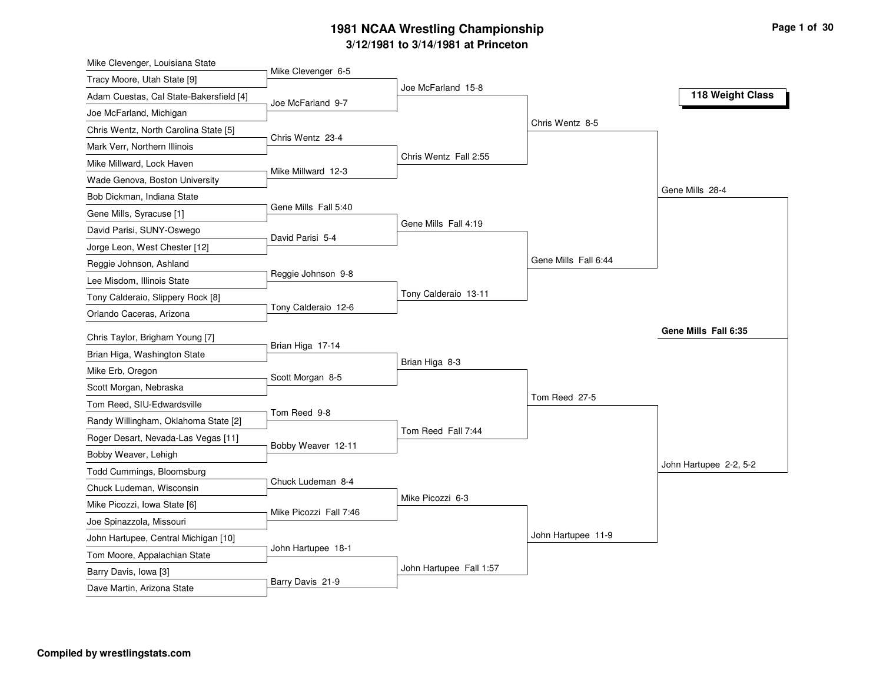### **3/12/1981 to 3/14/1981 at Princeton 1981 NCAA Wrestling Championship Page <sup>1</sup> of <sup>30</sup>**

| Mike Clevenger 6-5<br>Tracy Moore, Utah State [9]<br>Joe McFarland 15-8<br>118 Weight Class<br>Adam Cuestas, Cal State-Bakersfield [4]<br>Joe McFarland 9-7 |  |
|-------------------------------------------------------------------------------------------------------------------------------------------------------------|--|
|                                                                                                                                                             |  |
|                                                                                                                                                             |  |
| Joe McFarland, Michigan                                                                                                                                     |  |
| Chris Wentz 8-5<br>Chris Wentz, North Carolina State [5]                                                                                                    |  |
| Chris Wentz 23-4<br>Mark Verr, Northern Illinois                                                                                                            |  |
| Chris Wentz Fall 2:55<br>Mike Millward, Lock Haven                                                                                                          |  |
| Mike Millward 12-3<br>Wade Genova, Boston University                                                                                                        |  |
| Gene Mills 28-4<br>Bob Dickman, Indiana State                                                                                                               |  |
| Gene Mills Fall 5:40<br>Gene Mills, Syracuse [1]                                                                                                            |  |
| Gene Mills Fall 4:19<br>David Parisi, SUNY-Oswego<br>David Parisi 5-4                                                                                       |  |
| Jorge Leon, West Chester [12]                                                                                                                               |  |
| Gene Mills Fall 6:44<br>Reggie Johnson, Ashland                                                                                                             |  |
| Reggie Johnson 9-8<br>Lee Misdom, Illinois State                                                                                                            |  |
| Tony Calderaio 13-11<br>Tony Calderaio, Slippery Rock [8]                                                                                                   |  |
| Tony Calderaio 12-6<br>Orlando Caceras, Arizona                                                                                                             |  |
| Gene Mills Fall 6:35<br>Chris Taylor, Brigham Young [7]                                                                                                     |  |
| Brian Higa 17-14<br>Brian Higa, Washington State                                                                                                            |  |
| Brian Higa 8-3<br>Mike Erb, Oregon                                                                                                                          |  |
| Scott Morgan 8-5<br>Scott Morgan, Nebraska                                                                                                                  |  |
| Tom Reed 27-5<br>Tom Reed, SIU-Edwardsville                                                                                                                 |  |
| Tom Reed 9-8<br>Randy Willingham, Oklahoma State [2]                                                                                                        |  |
| Tom Reed Fall 7:44<br>Roger Desart, Nevada-Las Vegas [11]                                                                                                   |  |
| Bobby Weaver 12-11<br>Bobby Weaver, Lehigh                                                                                                                  |  |
| John Hartupee 2-2, 5-2<br>Todd Cummings, Bloomsburg                                                                                                         |  |
| Chuck Ludeman 8-4<br>Chuck Ludeman, Wisconsin                                                                                                               |  |
| Mike Picozzi 6-3<br>Mike Picozzi, Iowa State [6]                                                                                                            |  |
| Mike Picozzi Fall 7:46<br>Joe Spinazzola, Missouri                                                                                                          |  |
| John Hartupee 11-9<br>John Hartupee, Central Michigan [10]                                                                                                  |  |
| John Hartupee 18-1                                                                                                                                          |  |
| Tom Moore, Appalachian State<br>John Hartupee Fall 1:57                                                                                                     |  |
| Barry Davis, Iowa [3]<br>Barry Davis 21-9<br>Dave Martin, Arizona State                                                                                     |  |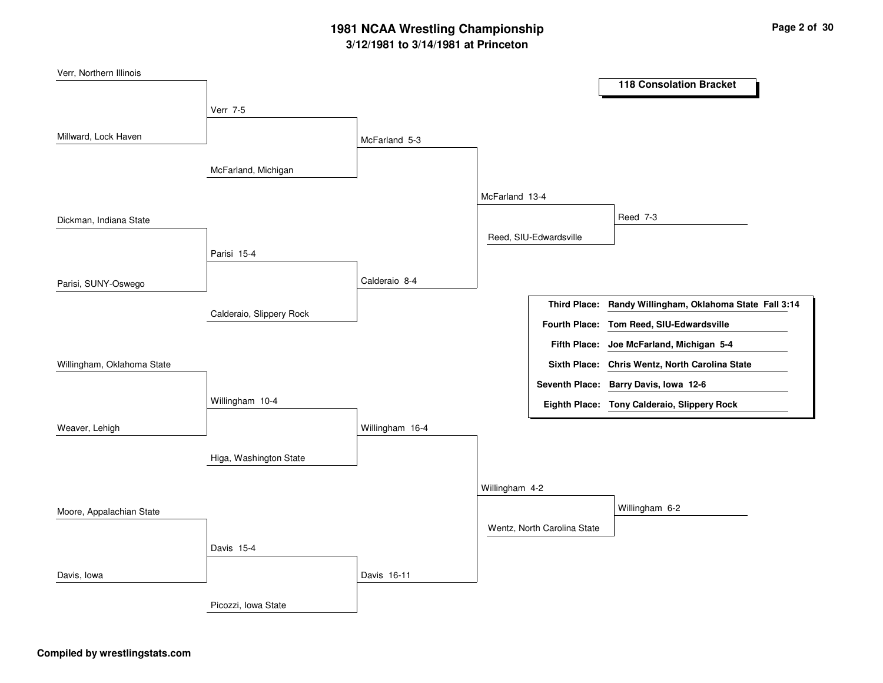#### **3/12/1981 to 3/14/1981 at Princeton 1981 NCAA Wrestling Championship Page <sup>2</sup> of <sup>30</sup>**

| Verr, Northern Illinois    |                          |                 |                |                             |                                                |
|----------------------------|--------------------------|-----------------|----------------|-----------------------------|------------------------------------------------|
|                            |                          |                 |                |                             | <b>118 Consolation Bracket</b>                 |
|                            | Verr 7-5                 |                 |                |                             |                                                |
| Millward, Lock Haven       |                          | McFarland 5-3   |                |                             |                                                |
|                            |                          |                 |                |                             |                                                |
|                            | McFarland, Michigan      |                 |                |                             |                                                |
|                            |                          |                 | McFarland 13-4 |                             |                                                |
|                            |                          |                 |                |                             | Reed 7-3                                       |
| Dickman, Indiana State     |                          |                 |                |                             |                                                |
|                            | Parisi 15-4              |                 |                | Reed, SIU-Edwardsville      |                                                |
|                            |                          |                 |                |                             |                                                |
| Parisi, SUNY-Oswego        |                          | Calderaio 8-4   |                |                             |                                                |
|                            |                          |                 |                | <b>Third Place:</b>         | Randy Willingham, Oklahoma State Fall 3:14     |
|                            | Calderaio, Slippery Rock |                 |                | <b>Fourth Place:</b>        | Tom Reed, SIU-Edwardsville                     |
|                            |                          |                 |                | <b>Fifth Place:</b>         | Joe McFarland, Michigan 5-4                    |
| Willingham, Oklahoma State |                          |                 |                |                             | Sixth Place: Chris Wentz, North Carolina State |
|                            |                          |                 |                |                             | Seventh Place: Barry Davis, Iowa 12-6          |
|                            | Willingham 10-4          |                 |                |                             | Eighth Place: Tony Calderaio, Slippery Rock    |
| Weaver, Lehigh             |                          | Willingham 16-4 |                |                             |                                                |
|                            |                          |                 |                |                             |                                                |
|                            | Higa, Washington State   |                 |                |                             |                                                |
|                            |                          |                 |                |                             |                                                |
|                            |                          |                 | Willingham 4-2 |                             |                                                |
| Moore, Appalachian State   |                          |                 |                |                             | Willingham 6-2                                 |
|                            |                          |                 |                | Wentz, North Carolina State |                                                |
|                            | Davis 15-4               |                 |                |                             |                                                |
| Davis, Iowa                |                          | Davis 16-11     |                |                             |                                                |
|                            | Picozzi, Iowa State      |                 |                |                             |                                                |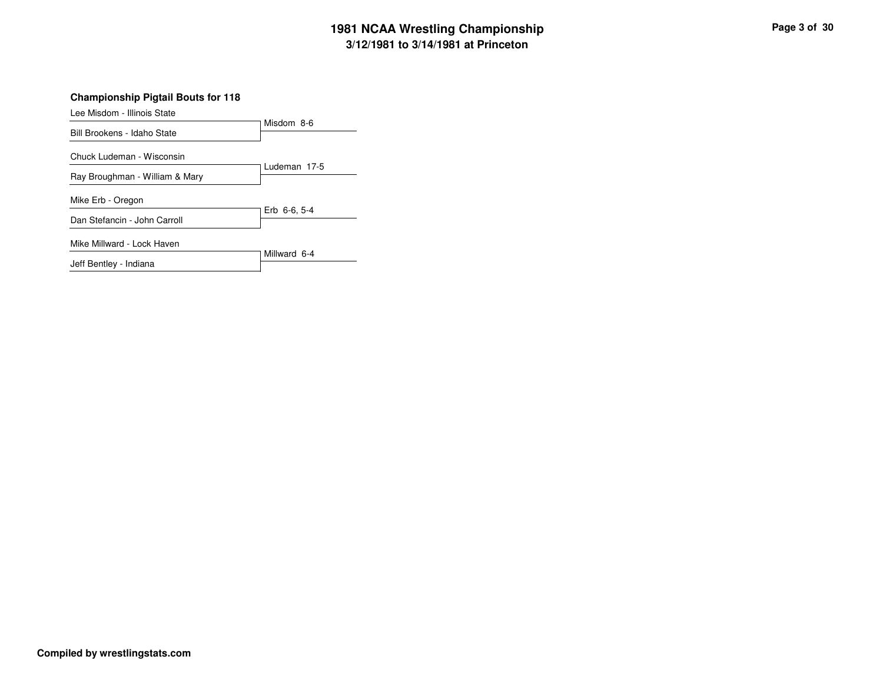## **3/12/1981 to 3/14/1981 at Princeton 1981 NCAA Wrestling Championship Page <sup>3</sup> of <sup>30</sup>**

**Championship Pigtail Bouts for 118**

Misdom 8-6 Lee Misdom - Illinois State Bill Brookens - Idaho State Ludeman 17-5 Chuck Ludeman - Wisconsin Ray Broughman - William & Mary Erb 6-6, 5-4 Mike Erb - Oregon Dan Stefancin - John Carroll Millward 6-4 Mike Millward - Lock Haven Jeff Bentley - Indiana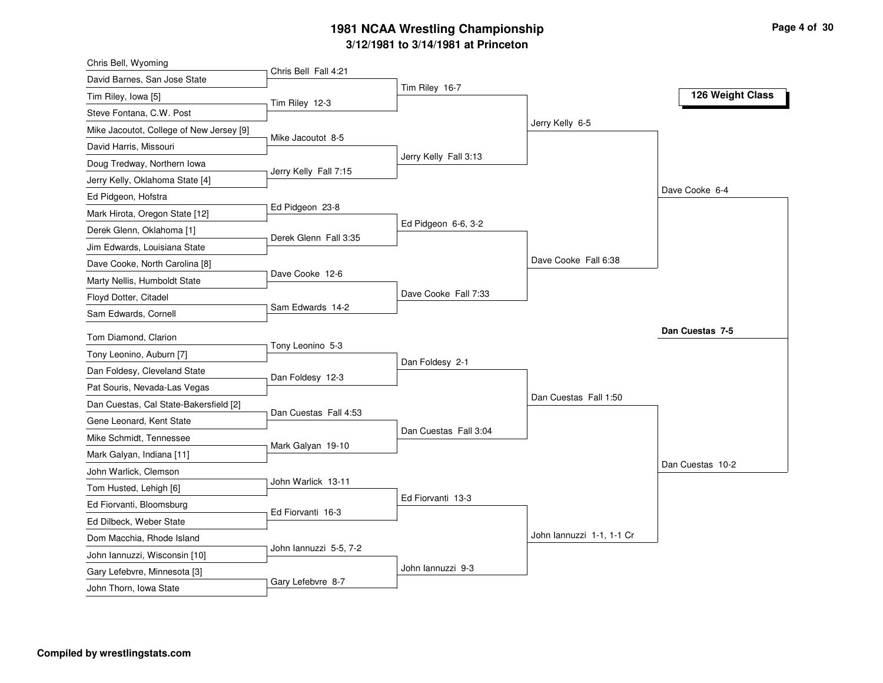#### **3/12/1981 to 3/14/1981 at Princeton 1981 NCAA Wrestling Championship Page <sup>4</sup> of <sup>30</sup>**

| David Barnes, San Jose State<br>Tim Riley 16-7<br>126 Weight Class<br>Tim Riley, Iowa [5]<br>Tim Riley 12-3<br>Steve Fontana, C.W. Post<br>Jerry Kelly 6-5<br>Mike Jacoutot, College of New Jersey [9]<br>Mike Jacoutot 8-5<br>David Harris, Missouri<br>Jerry Kelly Fall 3:13<br>Doug Tredway, Northern Iowa<br>Jerry Kelly Fall 7:15<br>Jerry Kelly, Oklahoma State [4]<br>Dave Cooke 6-4<br>Ed Pidgeon, Hofstra<br>Ed Pidgeon 23-8<br>Mark Hirota, Oregon State [12]<br>Ed Pidgeon 6-6, 3-2<br>Derek Glenn, Oklahoma [1]<br>Derek Glenn Fall 3:35<br>Jim Edwards, Louisiana State<br>Dave Cooke Fall 6:38<br>Dave Cooke, North Carolina [8]<br>Dave Cooke 12-6<br>Marty Nellis, Humboldt State<br>Dave Cooke Fall 7:33<br>Floyd Dotter, Citadel<br>Sam Edwards 14-2<br>Sam Edwards, Cornell<br>Dan Cuestas 7-5<br>Tom Diamond, Clarion<br>Tony Leonino 5-3<br>Tony Leonino, Auburn [7]<br>Dan Foldesy 2-1<br>Dan Foldesy, Cleveland State<br>Dan Foldesy 12-3<br>Pat Souris, Nevada-Las Vegas<br>Dan Cuestas Fall 1:50<br>Dan Cuestas, Cal State-Bakersfield [2]<br>Dan Cuestas Fall 4:53<br>Gene Leonard, Kent State<br>Dan Cuestas Fall 3:04<br>Mike Schmidt, Tennessee<br>Mark Galyan 19-10<br>Mark Galyan, Indiana [11]<br>Dan Cuestas 10-2<br>John Warlick, Clemson<br>John Warlick 13-11<br>Tom Husted, Lehigh [6]<br>Ed Fiorvanti 13-3<br>Ed Fiorvanti, Bloomsburg<br>Ed Fiorvanti 16-3<br>Ed Dilbeck, Weber State<br>John lannuzzi 1-1, 1-1 Cr<br>Dom Macchia, Rhode Island<br>John lannuzzi 5-5, 7-2<br>John lannuzzi, Wisconsin [10]<br>John lannuzzi 9-3<br>Gary Lefebvre, Minnesota [3] | Chris Bell, Wyoming |                      |  |  |
|--------------------------------------------------------------------------------------------------------------------------------------------------------------------------------------------------------------------------------------------------------------------------------------------------------------------------------------------------------------------------------------------------------------------------------------------------------------------------------------------------------------------------------------------------------------------------------------------------------------------------------------------------------------------------------------------------------------------------------------------------------------------------------------------------------------------------------------------------------------------------------------------------------------------------------------------------------------------------------------------------------------------------------------------------------------------------------------------------------------------------------------------------------------------------------------------------------------------------------------------------------------------------------------------------------------------------------------------------------------------------------------------------------------------------------------------------------------------------------------------------------------------------------------------------------------------------------------------------------|---------------------|----------------------|--|--|
|                                                                                                                                                                                                                                                                                                                                                                                                                                                                                                                                                                                                                                                                                                                                                                                                                                                                                                                                                                                                                                                                                                                                                                                                                                                                                                                                                                                                                                                                                                                                                                                                        |                     | Chris Bell Fall 4:21 |  |  |
|                                                                                                                                                                                                                                                                                                                                                                                                                                                                                                                                                                                                                                                                                                                                                                                                                                                                                                                                                                                                                                                                                                                                                                                                                                                                                                                                                                                                                                                                                                                                                                                                        |                     |                      |  |  |
|                                                                                                                                                                                                                                                                                                                                                                                                                                                                                                                                                                                                                                                                                                                                                                                                                                                                                                                                                                                                                                                                                                                                                                                                                                                                                                                                                                                                                                                                                                                                                                                                        |                     |                      |  |  |
|                                                                                                                                                                                                                                                                                                                                                                                                                                                                                                                                                                                                                                                                                                                                                                                                                                                                                                                                                                                                                                                                                                                                                                                                                                                                                                                                                                                                                                                                                                                                                                                                        |                     |                      |  |  |
|                                                                                                                                                                                                                                                                                                                                                                                                                                                                                                                                                                                                                                                                                                                                                                                                                                                                                                                                                                                                                                                                                                                                                                                                                                                                                                                                                                                                                                                                                                                                                                                                        |                     |                      |  |  |
|                                                                                                                                                                                                                                                                                                                                                                                                                                                                                                                                                                                                                                                                                                                                                                                                                                                                                                                                                                                                                                                                                                                                                                                                                                                                                                                                                                                                                                                                                                                                                                                                        |                     |                      |  |  |
|                                                                                                                                                                                                                                                                                                                                                                                                                                                                                                                                                                                                                                                                                                                                                                                                                                                                                                                                                                                                                                                                                                                                                                                                                                                                                                                                                                                                                                                                                                                                                                                                        |                     |                      |  |  |
|                                                                                                                                                                                                                                                                                                                                                                                                                                                                                                                                                                                                                                                                                                                                                                                                                                                                                                                                                                                                                                                                                                                                                                                                                                                                                                                                                                                                                                                                                                                                                                                                        |                     |                      |  |  |
|                                                                                                                                                                                                                                                                                                                                                                                                                                                                                                                                                                                                                                                                                                                                                                                                                                                                                                                                                                                                                                                                                                                                                                                                                                                                                                                                                                                                                                                                                                                                                                                                        |                     |                      |  |  |
|                                                                                                                                                                                                                                                                                                                                                                                                                                                                                                                                                                                                                                                                                                                                                                                                                                                                                                                                                                                                                                                                                                                                                                                                                                                                                                                                                                                                                                                                                                                                                                                                        |                     |                      |  |  |
|                                                                                                                                                                                                                                                                                                                                                                                                                                                                                                                                                                                                                                                                                                                                                                                                                                                                                                                                                                                                                                                                                                                                                                                                                                                                                                                                                                                                                                                                                                                                                                                                        |                     |                      |  |  |
|                                                                                                                                                                                                                                                                                                                                                                                                                                                                                                                                                                                                                                                                                                                                                                                                                                                                                                                                                                                                                                                                                                                                                                                                                                                                                                                                                                                                                                                                                                                                                                                                        |                     |                      |  |  |
|                                                                                                                                                                                                                                                                                                                                                                                                                                                                                                                                                                                                                                                                                                                                                                                                                                                                                                                                                                                                                                                                                                                                                                                                                                                                                                                                                                                                                                                                                                                                                                                                        |                     |                      |  |  |
|                                                                                                                                                                                                                                                                                                                                                                                                                                                                                                                                                                                                                                                                                                                                                                                                                                                                                                                                                                                                                                                                                                                                                                                                                                                                                                                                                                                                                                                                                                                                                                                                        |                     |                      |  |  |
|                                                                                                                                                                                                                                                                                                                                                                                                                                                                                                                                                                                                                                                                                                                                                                                                                                                                                                                                                                                                                                                                                                                                                                                                                                                                                                                                                                                                                                                                                                                                                                                                        |                     |                      |  |  |
|                                                                                                                                                                                                                                                                                                                                                                                                                                                                                                                                                                                                                                                                                                                                                                                                                                                                                                                                                                                                                                                                                                                                                                                                                                                                                                                                                                                                                                                                                                                                                                                                        |                     |                      |  |  |
|                                                                                                                                                                                                                                                                                                                                                                                                                                                                                                                                                                                                                                                                                                                                                                                                                                                                                                                                                                                                                                                                                                                                                                                                                                                                                                                                                                                                                                                                                                                                                                                                        |                     |                      |  |  |
|                                                                                                                                                                                                                                                                                                                                                                                                                                                                                                                                                                                                                                                                                                                                                                                                                                                                                                                                                                                                                                                                                                                                                                                                                                                                                                                                                                                                                                                                                                                                                                                                        |                     |                      |  |  |
|                                                                                                                                                                                                                                                                                                                                                                                                                                                                                                                                                                                                                                                                                                                                                                                                                                                                                                                                                                                                                                                                                                                                                                                                                                                                                                                                                                                                                                                                                                                                                                                                        |                     |                      |  |  |
|                                                                                                                                                                                                                                                                                                                                                                                                                                                                                                                                                                                                                                                                                                                                                                                                                                                                                                                                                                                                                                                                                                                                                                                                                                                                                                                                                                                                                                                                                                                                                                                                        |                     |                      |  |  |
|                                                                                                                                                                                                                                                                                                                                                                                                                                                                                                                                                                                                                                                                                                                                                                                                                                                                                                                                                                                                                                                                                                                                                                                                                                                                                                                                                                                                                                                                                                                                                                                                        |                     |                      |  |  |
|                                                                                                                                                                                                                                                                                                                                                                                                                                                                                                                                                                                                                                                                                                                                                                                                                                                                                                                                                                                                                                                                                                                                                                                                                                                                                                                                                                                                                                                                                                                                                                                                        |                     |                      |  |  |
|                                                                                                                                                                                                                                                                                                                                                                                                                                                                                                                                                                                                                                                                                                                                                                                                                                                                                                                                                                                                                                                                                                                                                                                                                                                                                                                                                                                                                                                                                                                                                                                                        |                     |                      |  |  |
|                                                                                                                                                                                                                                                                                                                                                                                                                                                                                                                                                                                                                                                                                                                                                                                                                                                                                                                                                                                                                                                                                                                                                                                                                                                                                                                                                                                                                                                                                                                                                                                                        |                     |                      |  |  |
|                                                                                                                                                                                                                                                                                                                                                                                                                                                                                                                                                                                                                                                                                                                                                                                                                                                                                                                                                                                                                                                                                                                                                                                                                                                                                                                                                                                                                                                                                                                                                                                                        |                     |                      |  |  |
|                                                                                                                                                                                                                                                                                                                                                                                                                                                                                                                                                                                                                                                                                                                                                                                                                                                                                                                                                                                                                                                                                                                                                                                                                                                                                                                                                                                                                                                                                                                                                                                                        |                     |                      |  |  |
|                                                                                                                                                                                                                                                                                                                                                                                                                                                                                                                                                                                                                                                                                                                                                                                                                                                                                                                                                                                                                                                                                                                                                                                                                                                                                                                                                                                                                                                                                                                                                                                                        |                     |                      |  |  |
|                                                                                                                                                                                                                                                                                                                                                                                                                                                                                                                                                                                                                                                                                                                                                                                                                                                                                                                                                                                                                                                                                                                                                                                                                                                                                                                                                                                                                                                                                                                                                                                                        |                     |                      |  |  |
|                                                                                                                                                                                                                                                                                                                                                                                                                                                                                                                                                                                                                                                                                                                                                                                                                                                                                                                                                                                                                                                                                                                                                                                                                                                                                                                                                                                                                                                                                                                                                                                                        |                     |                      |  |  |
|                                                                                                                                                                                                                                                                                                                                                                                                                                                                                                                                                                                                                                                                                                                                                                                                                                                                                                                                                                                                                                                                                                                                                                                                                                                                                                                                                                                                                                                                                                                                                                                                        |                     |                      |  |  |
| John Thorn, Iowa State                                                                                                                                                                                                                                                                                                                                                                                                                                                                                                                                                                                                                                                                                                                                                                                                                                                                                                                                                                                                                                                                                                                                                                                                                                                                                                                                                                                                                                                                                                                                                                                 |                     | Gary Lefebvre 8-7    |  |  |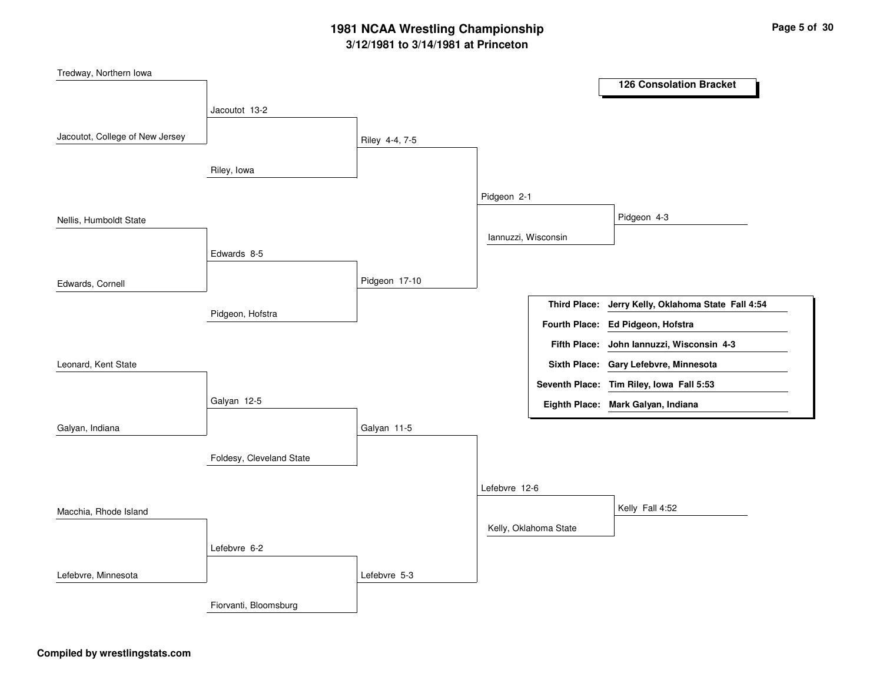#### **3/12/1981 to 3/14/1981 at Princeton 1981 NCAA Wrestling Championship Page <sup>5</sup> of <sup>30</sup>**

| Tredway, Northern Iowa          |                          |                |                     |                       |                                                    |
|---------------------------------|--------------------------|----------------|---------------------|-----------------------|----------------------------------------------------|
|                                 |                          |                |                     |                       | <b>126 Consolation Bracket</b>                     |
|                                 | Jacoutot 13-2            |                |                     |                       |                                                    |
|                                 |                          |                |                     |                       |                                                    |
| Jacoutot, College of New Jersey |                          | Riley 4-4, 7-5 |                     |                       |                                                    |
|                                 |                          |                |                     |                       |                                                    |
|                                 | Riley, Iowa              |                |                     |                       |                                                    |
|                                 |                          |                | Pidgeon 2-1         |                       |                                                    |
| Nellis, Humboldt State          |                          |                |                     |                       | Pidgeon 4-3                                        |
|                                 |                          |                | Iannuzzi, Wisconsin |                       |                                                    |
|                                 | Edwards 8-5              |                |                     |                       |                                                    |
|                                 |                          |                |                     |                       |                                                    |
| Edwards, Cornell                |                          | Pidgeon 17-10  |                     |                       |                                                    |
|                                 |                          |                |                     |                       | Third Place: Jerry Kelly, Oklahoma State Fall 4:54 |
|                                 | Pidgeon, Hofstra         |                |                     |                       | Fourth Place: Ed Pidgeon, Hofstra                  |
|                                 |                          |                |                     |                       | Fifth Place: John lannuzzi, Wisconsin 4-3          |
| Leonard, Kent State             |                          |                |                     |                       | Sixth Place: Gary Lefebvre, Minnesota              |
|                                 |                          |                |                     |                       | Seventh Place: Tim Riley, Iowa Fall 5:53           |
|                                 | Galyan 12-5              |                |                     |                       |                                                    |
|                                 |                          |                |                     |                       | Eighth Place: Mark Galyan, Indiana                 |
| Galyan, Indiana                 |                          | Galyan 11-5    |                     |                       |                                                    |
|                                 |                          |                |                     |                       |                                                    |
|                                 | Foldesy, Cleveland State |                |                     |                       |                                                    |
|                                 |                          |                | Lefebvre 12-6       |                       |                                                    |
|                                 |                          |                |                     |                       | Kelly Fall 4:52                                    |
| Macchia, Rhode Island           |                          |                |                     | Kelly, Oklahoma State |                                                    |
|                                 |                          |                |                     |                       |                                                    |
|                                 | Lefebvre 6-2             |                |                     |                       |                                                    |
| Lefebvre, Minnesota             |                          | Lefebvre 5-3   |                     |                       |                                                    |
|                                 |                          |                |                     |                       |                                                    |
|                                 | Fiorvanti, Bloomsburg    |                |                     |                       |                                                    |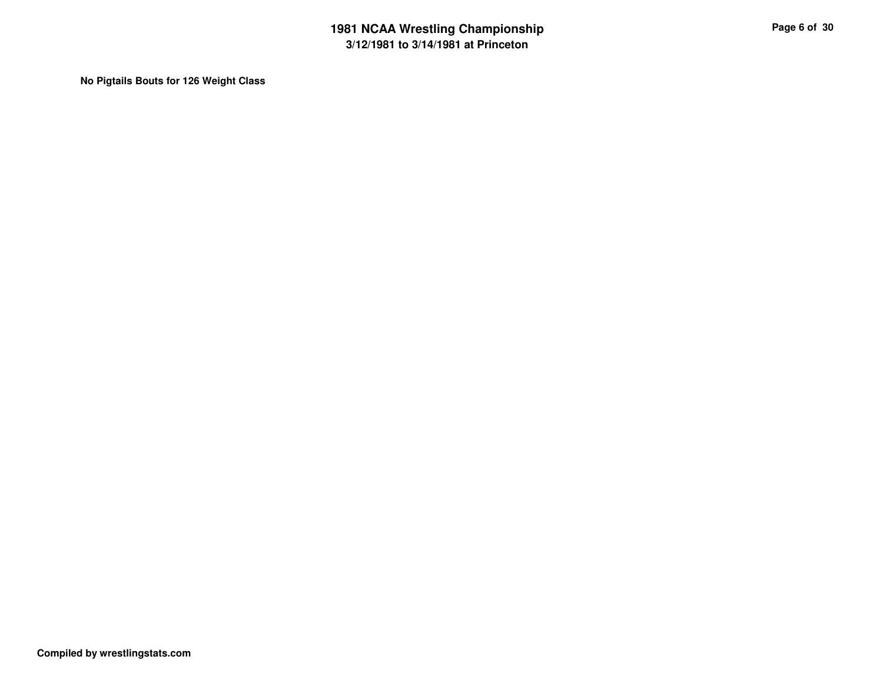**No Pigtails Bouts for 126 Weight Class**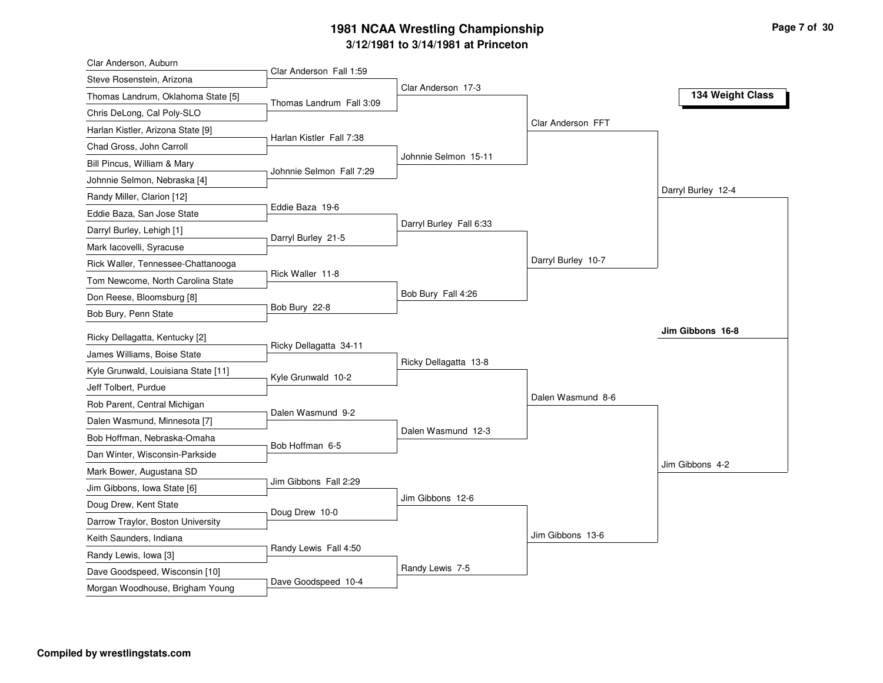## **3/12/1981 to 3/14/1981 at Princeton 1981 NCAA Wrestling Championship Page <sup>7</sup> of <sup>30</sup>**

| Clar Anderson, Auburn               |                          |                         |                    |                    |
|-------------------------------------|--------------------------|-------------------------|--------------------|--------------------|
| Steve Rosenstein, Arizona           | Clar Anderson Fall 1:59  | Clar Anderson 17-3      |                    |                    |
| Thomas Landrum, Oklahoma State [5]  | Thomas Landrum Fall 3:09 |                         |                    | 134 Weight Class   |
| Chris DeLong, Cal Poly-SLO          |                          |                         |                    |                    |
| Harlan Kistler, Arizona State [9]   | Harlan Kistler Fall 7:38 |                         | Clar Anderson FFT  |                    |
| Chad Gross, John Carroll            |                          |                         |                    |                    |
| Bill Pincus, William & Mary         |                          | Johnnie Selmon 15-11    |                    |                    |
| Johnnie Selmon, Nebraska [4]        | Johnnie Selmon Fall 7:29 |                         |                    |                    |
| Randy Miller, Clarion [12]          |                          |                         |                    | Darryl Burley 12-4 |
| Eddie Baza, San Jose State          | Eddie Baza 19-6          |                         |                    |                    |
| Darryl Burley, Lehigh [1]           | Darryl Burley 21-5       | Darryl Burley Fall 6:33 |                    |                    |
| Mark lacovelli, Syracuse            |                          |                         |                    |                    |
| Rick Waller, Tennessee-Chattanooga  |                          |                         | Darryl Burley 10-7 |                    |
| Tom Newcome, North Carolina State   | Rick Waller 11-8         |                         |                    |                    |
| Don Reese, Bloomsburg [8]           |                          | Bob Bury Fall 4:26      |                    |                    |
| Bob Bury, Penn State                | Bob Bury 22-8            |                         |                    |                    |
| Ricky Dellagatta, Kentucky [2]      |                          |                         |                    | Jim Gibbons 16-8   |
| James Williams, Boise State         | Ricky Dellagatta 34-11   |                         |                    |                    |
| Kyle Grunwald, Louisiana State [11] |                          | Ricky Dellagatta 13-8   |                    |                    |
| Jeff Tolbert, Purdue                | Kyle Grunwald 10-2       |                         |                    |                    |
| Rob Parent, Central Michigan        |                          |                         | Dalen Wasmund 8-6  |                    |
| Dalen Wasmund, Minnesota [7]        | Dalen Wasmund 9-2        |                         |                    |                    |
| Bob Hoffman, Nebraska-Omaha         |                          | Dalen Wasmund 12-3      |                    |                    |
| Dan Winter, Wisconsin-Parkside      | Bob Hoffman 6-5          |                         |                    |                    |
| Mark Bower, Augustana SD            |                          |                         |                    | Jim Gibbons 4-2    |
| Jim Gibbons, Iowa State [6]         | Jim Gibbons Fall 2:29    |                         |                    |                    |
| Doug Drew, Kent State               |                          | Jim Gibbons 12-6        |                    |                    |
| Darrow Traylor, Boston University   | Doug Drew 10-0           |                         |                    |                    |
| Keith Saunders, Indiana             |                          |                         | Jim Gibbons 13-6   |                    |
| Randy Lewis, Iowa [3]               | Randy Lewis Fall 4:50    |                         |                    |                    |
| Dave Goodspeed, Wisconsin [10]      |                          | Randy Lewis 7-5         |                    |                    |
|                                     | Dave Goodspeed 10-4      |                         |                    |                    |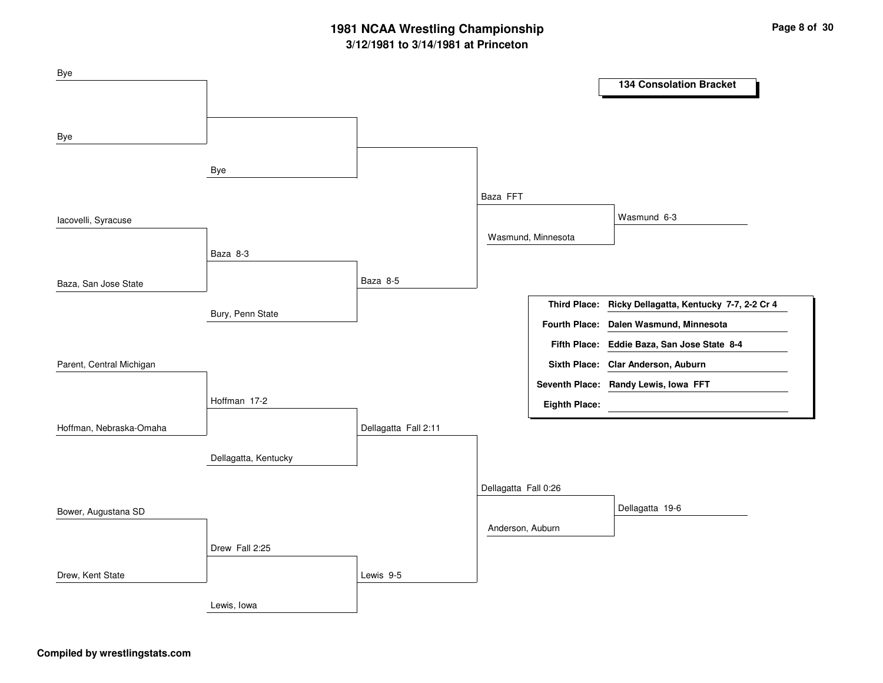#### **3/12/1981 to 3/14/1981 at Princeton 1981 NCAA Wrestling Championship Page <sup>8</sup> of <sup>30</sup>**

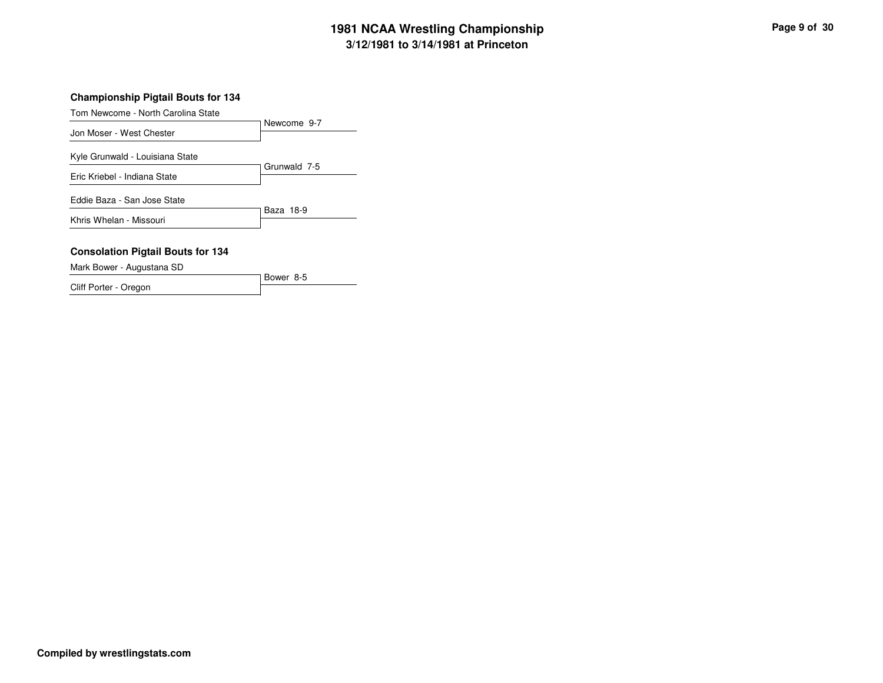## **3/12/1981 to 3/14/1981 at Princeton 1981 NCAA Wrestling Championship Page <sup>9</sup> of <sup>30</sup>**

#### **Championship Pigtail Bouts for 134**

Tom Newcome - North Carolina State

|                                 | Newcome 9-7  |
|---------------------------------|--------------|
| Jon Moser - West Chester        |              |
| Kyle Grunwald - Louisiana State |              |
|                                 | Grunwald 7-5 |
| Eric Kriebel - Indiana State    |              |
| Eddie Baza - San Jose State     |              |
|                                 | Baza 18-9    |
| Khris Whelan - Missouri         |              |
|                                 |              |

#### **Consolation Pigtail Bouts for 134**

Mark Bower - Augustana SD

Bower 8-5Cliff Porter - Oregon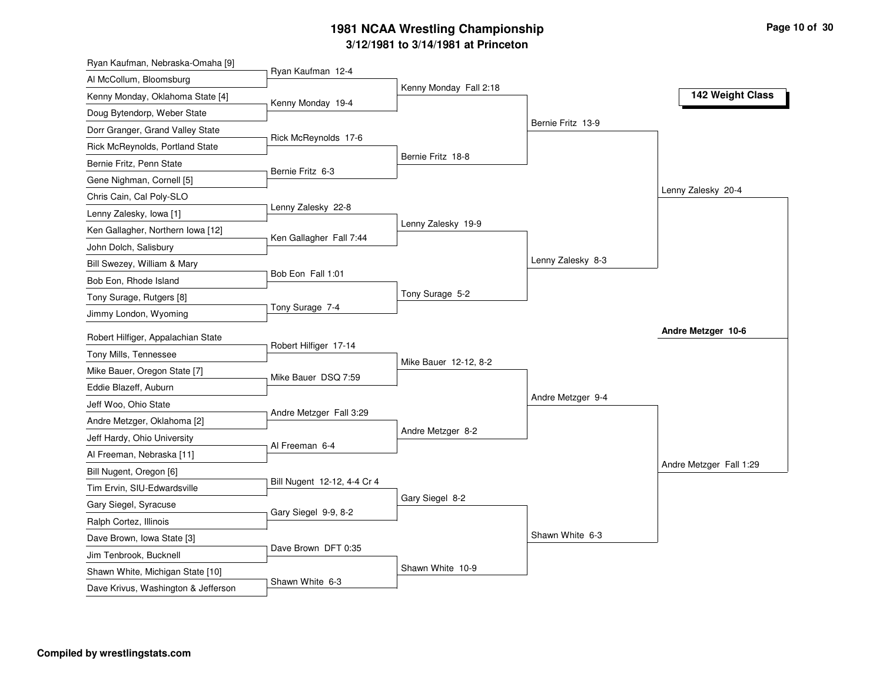# **3/12/1981 to 3/14/1981 at Princeton 1981 NCAA Wrestling Championship Page <sup>10</sup> of <sup>30</sup>**

| Ryan Kaufman, Nebraska-Omaha [9]                                        |                             |                        |                   |                         |
|-------------------------------------------------------------------------|-----------------------------|------------------------|-------------------|-------------------------|
| Al McCollum, Bloomsburg                                                 | Ryan Kaufman 12-4           |                        |                   |                         |
| Kenny Monday, Oklahoma State [4]                                        | Kenny Monday 19-4           | Kenny Monday Fall 2:18 |                   | 142 Weight Class        |
| Doug Bytendorp, Weber State                                             |                             |                        |                   |                         |
| Dorr Granger, Grand Valley State                                        |                             |                        | Bernie Fritz 13-9 |                         |
| Rick McReynolds, Portland State                                         | Rick McReynolds 17-6        |                        |                   |                         |
| Bernie Fritz, Penn State                                                |                             | Bernie Fritz 18-8      |                   |                         |
| Gene Nighman, Cornell [5]                                               | Bernie Fritz 6-3            |                        |                   |                         |
| Chris Cain, Cal Poly-SLO                                                |                             |                        |                   | Lenny Zalesky 20-4      |
| Lenny Zalesky, Iowa [1]                                                 | Lenny Zalesky 22-8          |                        |                   |                         |
| Ken Gallagher, Northern Iowa [12]                                       |                             | Lenny Zalesky 19-9     |                   |                         |
| John Dolch, Salisbury                                                   | Ken Gallagher Fall 7:44     |                        |                   |                         |
| Bill Swezey, William & Mary                                             |                             |                        | Lenny Zalesky 8-3 |                         |
| Bob Eon, Rhode Island                                                   | Bob Eon Fall 1:01           |                        |                   |                         |
| Tony Surage, Rutgers [8]                                                |                             | Tony Surage 5-2        |                   |                         |
| Jimmy London, Wyoming                                                   | Tony Surage 7-4             |                        |                   |                         |
|                                                                         |                             |                        |                   | Andre Metzger 10-6      |
| Robert Hilfiger, Appalachian State<br>Tony Mills, Tennessee             | Robert Hilfiger 17-14       |                        |                   |                         |
| Mike Bauer, Oregon State [7]                                            |                             | Mike Bauer 12-12, 8-2  |                   |                         |
| Eddie Blazeff, Auburn                                                   | Mike Bauer DSQ 7:59         |                        |                   |                         |
| Jeff Woo, Ohio State                                                    |                             |                        | Andre Metzger 9-4 |                         |
|                                                                         | Andre Metzger Fall 3:29     |                        |                   |                         |
| Andre Metzger, Oklahoma [2]                                             |                             | Andre Metzger 8-2      |                   |                         |
| Jeff Hardy, Ohio University                                             | Al Freeman 6-4              |                        |                   |                         |
| Al Freeman, Nebraska [11]                                               |                             |                        |                   |                         |
| Bill Nugent, Oregon [6]                                                 |                             |                        |                   | Andre Metzger Fall 1:29 |
|                                                                         | Bill Nugent 12-12, 4-4 Cr 4 |                        |                   |                         |
| Tim Ervin, SIU-Edwardsville                                             |                             | Gary Siegel 8-2        |                   |                         |
| Gary Siegel, Syracuse                                                   | Gary Siegel 9-9, 8-2        |                        |                   |                         |
| Ralph Cortez, Illinois                                                  |                             |                        |                   |                         |
| Dave Brown, Iowa State [3]                                              | Dave Brown DFT 0:35         |                        | Shawn White 6-3   |                         |
| Jim Tenbrook, Bucknell                                                  |                             |                        |                   |                         |
| Shawn White, Michigan State [10]<br>Dave Krivus, Washington & Jefferson | Shawn White 6-3             | Shawn White 10-9       |                   |                         |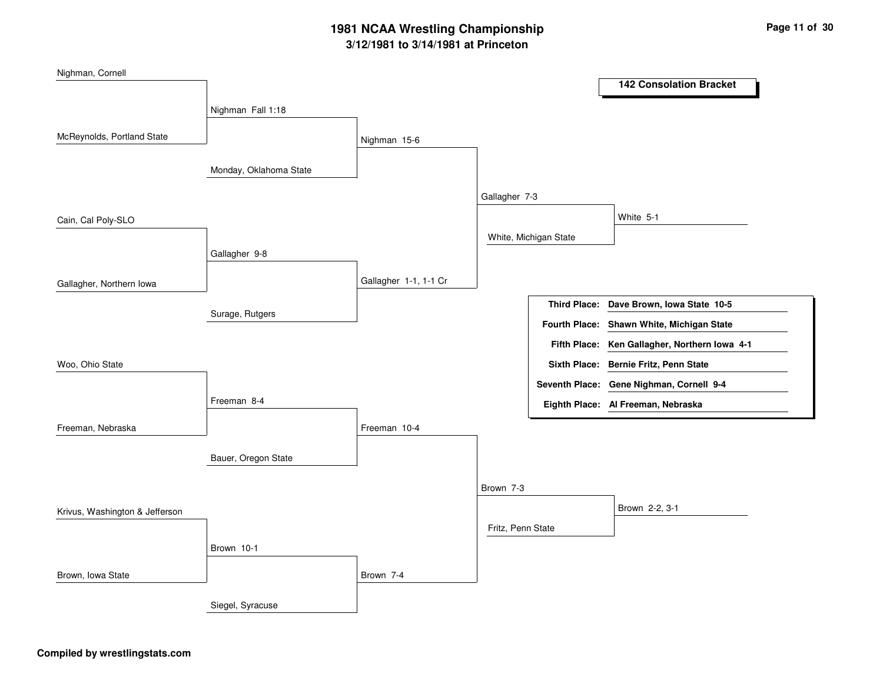## **3/12/1981 to 3/14/1981 at Princeton 1981 NCAA Wrestling Championship Page <sup>11</sup> of <sup>30</sup>**

| Nighman, Cornell               |                        |                       |                   |                       |                                               |
|--------------------------------|------------------------|-----------------------|-------------------|-----------------------|-----------------------------------------------|
|                                |                        |                       |                   |                       | <b>142 Consolation Bracket</b>                |
|                                | Nighman Fall 1:18      |                       |                   |                       |                                               |
|                                |                        |                       |                   |                       |                                               |
| McReynolds, Portland State     |                        | Nighman 15-6          |                   |                       |                                               |
|                                | Monday, Oklahoma State |                       |                   |                       |                                               |
|                                |                        |                       |                   |                       |                                               |
|                                |                        |                       | Gallagher 7-3     |                       |                                               |
| Cain, Cal Poly-SLO             |                        |                       |                   |                       | White 5-1                                     |
|                                |                        |                       |                   | White, Michigan State |                                               |
|                                | Gallagher 9-8          |                       |                   |                       |                                               |
| Gallagher, Northern Iowa       |                        | Gallagher 1-1, 1-1 Cr |                   |                       |                                               |
|                                |                        |                       |                   |                       |                                               |
|                                | Surage, Rutgers        |                       |                   |                       | Third Place: Dave Brown, Iowa State 10-5      |
|                                |                        |                       |                   | <b>Fourth Place:</b>  | Shawn White, Michigan State                   |
|                                |                        |                       |                   |                       | Fifth Place: Ken Gallagher, Northern Iowa 4-1 |
| Woo, Ohio State                |                        |                       |                   |                       | Sixth Place: Bernie Fritz, Penn State         |
|                                |                        |                       |                   |                       | Seventh Place: Gene Nighman, Cornell 9-4      |
|                                | Freeman 8-4            |                       |                   |                       | Eighth Place: Al Freeman, Nebraska            |
| Freeman, Nebraska              |                        | Freeman 10-4          |                   |                       |                                               |
|                                |                        |                       |                   |                       |                                               |
|                                | Bauer, Oregon State    |                       |                   |                       |                                               |
|                                |                        |                       | Brown 7-3         |                       |                                               |
|                                |                        |                       |                   |                       |                                               |
| Krivus, Washington & Jefferson |                        |                       |                   |                       | Brown 2-2, 3-1                                |
|                                |                        |                       | Fritz, Penn State |                       |                                               |
|                                | Brown 10-1             |                       |                   |                       |                                               |
| Brown, Iowa State              |                        | Brown 7-4             |                   |                       |                                               |
|                                |                        |                       |                   |                       |                                               |
|                                | Siegel, Syracuse       |                       |                   |                       |                                               |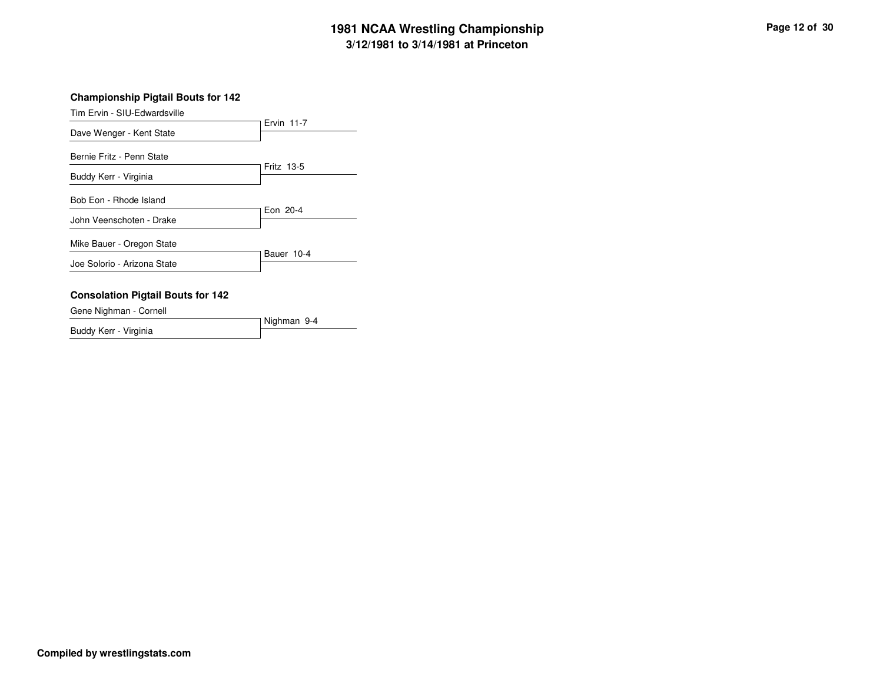## **3/12/1981 to 3/14/1981 at Princeton 1981 NCAA Wrestling Championship Page <sup>12</sup> of <sup>30</sup>**

| Tim Ervin - SIU-Edwardsville                       |              |
|----------------------------------------------------|--------------|
| Dave Wenger - Kent State                           | Ervin $11-7$ |
| Bernie Fritz - Penn State<br>Buddy Kerr - Virginia | Fritz 13-5   |
| Bob Eon - Rhode Island<br>John Veenschoten - Drake | Eon 20-4     |
| Mike Bauer - Oregon State                          |              |
| Joe Solorio - Arizona State                        | Bauer 10-4   |
|                                                    |              |

#### **Consolation Pigtail Bouts for 142**

Gene Nighman - Cornell

Nighman 9-4 Buddy Kerr - Virginia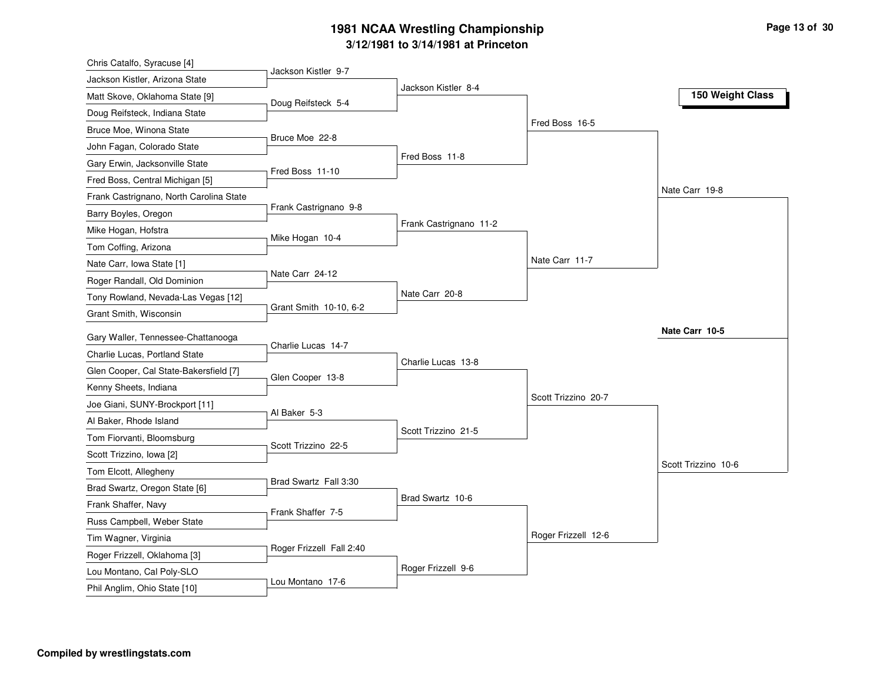## **3/12/1981 to 3/14/1981 at Princeton 1981 NCAA Wrestling Championship Page <sup>13</sup> of <sup>30</sup>**

| Chris Catalfo, Syracuse [4]             |                          |                        |                     |                     |
|-----------------------------------------|--------------------------|------------------------|---------------------|---------------------|
| Jackson Kistler, Arizona State          | Jackson Kistler 9-7      |                        |                     |                     |
| Matt Skove, Oklahoma State [9]          |                          | Jackson Kistler 8-4    |                     | 150 Weight Class    |
| Doug Reifsteck, Indiana State           | Doug Reifsteck 5-4       |                        |                     |                     |
| Bruce Moe, Winona State                 |                          |                        | Fred Boss 16-5      |                     |
| John Fagan, Colorado State              | Bruce Moe 22-8           |                        |                     |                     |
| Gary Erwin, Jacksonville State          |                          | Fred Boss 11-8         |                     |                     |
| Fred Boss, Central Michigan [5]         | Fred Boss 11-10          |                        |                     |                     |
| Frank Castrignano, North Carolina State |                          |                        |                     | Nate Carr 19-8      |
| Barry Boyles, Oregon                    | Frank Castrignano 9-8    |                        |                     |                     |
| Mike Hogan, Hofstra                     |                          | Frank Castrignano 11-2 |                     |                     |
| Tom Coffing, Arizona                    | Mike Hogan 10-4          |                        |                     |                     |
| Nate Carr, Iowa State [1]               |                          |                        | Nate Carr 11-7      |                     |
| Roger Randall, Old Dominion             | Nate Carr 24-12          |                        |                     |                     |
| Tony Rowland, Nevada-Las Vegas [12]     |                          | Nate Carr 20-8         |                     |                     |
| Grant Smith, Wisconsin                  | Grant Smith 10-10, 6-2   |                        |                     |                     |
|                                         |                          |                        |                     | Nate Carr 10-5      |
| Gary Waller, Tennessee-Chattanooga      | Charlie Lucas 14-7       |                        |                     |                     |
| Charlie Lucas, Portland State           |                          | Charlie Lucas 13-8     |                     |                     |
| Glen Cooper, Cal State-Bakersfield [7]  | Glen Cooper 13-8         |                        |                     |                     |
| Kenny Sheets, Indiana                   |                          |                        | Scott Trizzino 20-7 |                     |
| Joe Giani, SUNY-Brockport [11]          | Al Baker 5-3             |                        |                     |                     |
| Al Baker, Rhode Island                  |                          | Scott Trizzino 21-5    |                     |                     |
| Tom Fiorvanti, Bloomsburg               | Scott Trizzino 22-5      |                        |                     |                     |
| Scott Trizzino, Iowa [2]                |                          |                        |                     |                     |
| Tom Elcott, Allegheny                   |                          |                        |                     | Scott Trizzino 10-6 |
| Brad Swartz, Oregon State [6]           | Brad Swartz Fall 3:30    |                        |                     |                     |
| Frank Shaffer, Navy                     | Frank Shaffer 7-5        | Brad Swartz 10-6       |                     |                     |
| Russ Campbell, Weber State              |                          |                        |                     |                     |
| Tim Wagner, Virginia                    |                          |                        | Roger Frizzell 12-6 |                     |
| Roger Frizzell, Oklahoma [3]            | Roger Frizzell Fall 2:40 |                        |                     |                     |
| Lou Montano, Cal Poly-SLO               |                          | Roger Frizzell 9-6     |                     |                     |
| Phil Anglim, Ohio State [10]            | Lou Montano 17-6         |                        |                     |                     |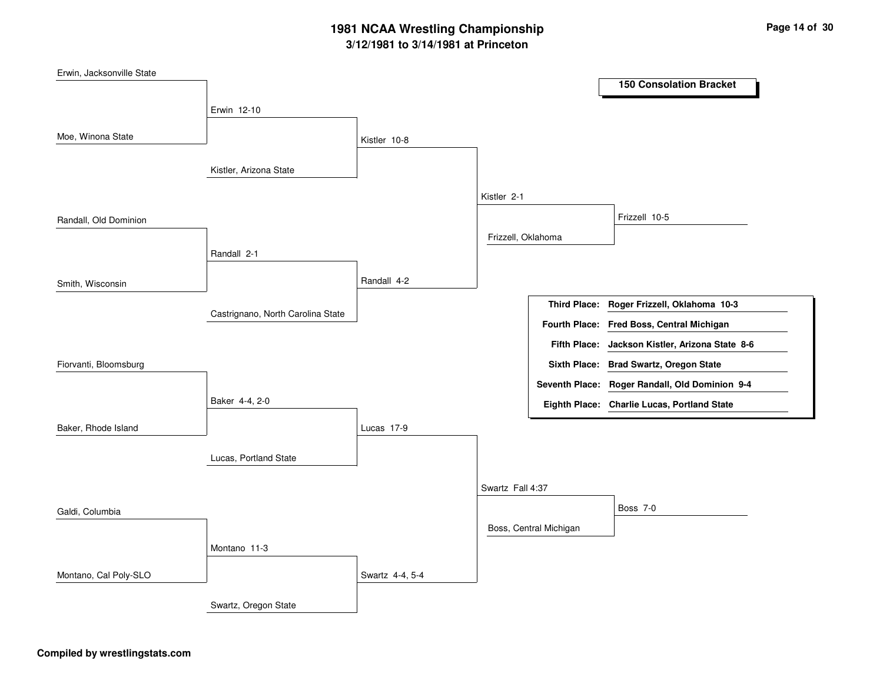### **3/12/1981 to 3/14/1981 at Princeton 1981 NCAA Wrestling Championship Page <sup>14</sup> of <sup>30</sup>**

| Erwin, Jacksonville State |                                   |                 |                    |                        |                                                |
|---------------------------|-----------------------------------|-----------------|--------------------|------------------------|------------------------------------------------|
|                           |                                   |                 |                    |                        | <b>150 Consolation Bracket</b>                 |
|                           | Erwin 12-10                       |                 |                    |                        |                                                |
| Moe, Winona State         |                                   | Kistler 10-8    |                    |                        |                                                |
|                           | Kistler, Arizona State            |                 |                    |                        |                                                |
|                           |                                   |                 | Kistler 2-1        |                        |                                                |
| Randall, Old Dominion     |                                   |                 |                    |                        | Frizzell 10-5                                  |
|                           |                                   |                 | Frizzell, Oklahoma |                        |                                                |
|                           | Randall 2-1                       |                 |                    |                        |                                                |
| Smith, Wisconsin          |                                   | Randall 4-2     |                    |                        |                                                |
|                           | Castrignano, North Carolina State |                 |                    |                        | Third Place: Roger Frizzell, Oklahoma 10-3     |
|                           |                                   |                 |                    |                        | Fourth Place: Fred Boss, Central Michigan      |
|                           |                                   |                 |                    | <b>Fifth Place:</b>    | Jackson Kistler, Arizona State 8-6             |
| Fiorvanti, Bloomsburg     |                                   |                 |                    |                        | Sixth Place: Brad Swartz, Oregon State         |
|                           |                                   |                 |                    |                        | Seventh Place: Roger Randall, Old Dominion 9-4 |
|                           | Baker 4-4, 2-0                    |                 |                    |                        | Eighth Place: Charlie Lucas, Portland State    |
| Baker, Rhode Island       |                                   | Lucas 17-9      |                    |                        |                                                |
|                           |                                   |                 |                    |                        |                                                |
|                           | Lucas, Portland State             |                 |                    |                        |                                                |
|                           |                                   |                 | Swartz Fall 4:37   |                        |                                                |
| Galdi, Columbia           |                                   |                 |                    |                        | <b>Boss 7-0</b>                                |
|                           |                                   |                 |                    | Boss, Central Michigan |                                                |
|                           | Montano 11-3                      |                 |                    |                        |                                                |
| Montano, Cal Poly-SLO     |                                   | Swartz 4-4, 5-4 |                    |                        |                                                |
|                           | Swartz, Oregon State              |                 |                    |                        |                                                |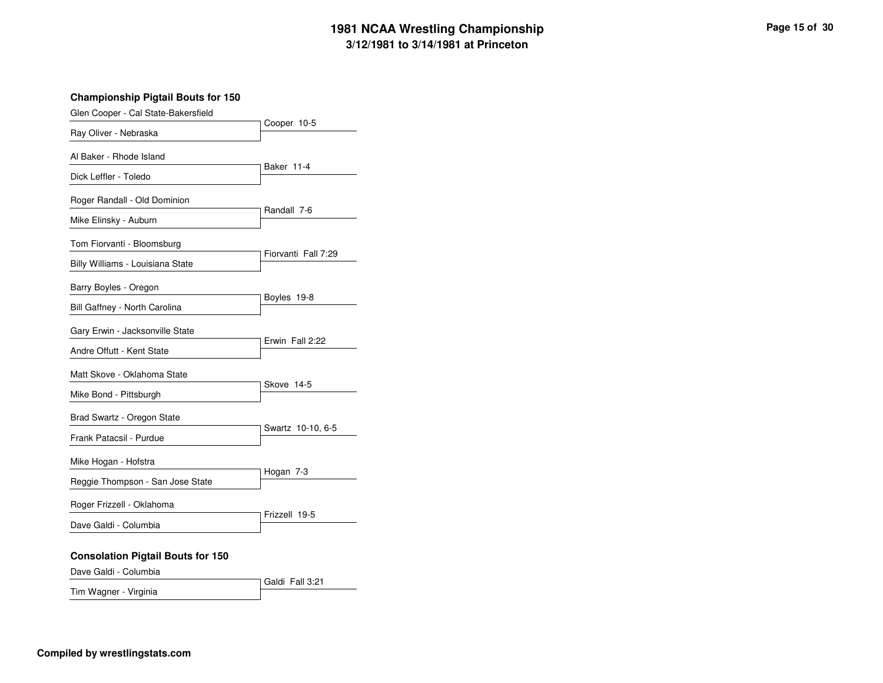## **3/12/1981 to 3/14/1981 at Princeton 1981 NCAA Wrestling Championship Page <sup>15</sup> of <sup>30</sup>**

#### **Championship Pigtail Bouts for 150**

| Glen Cooper - Cal State-Bakersfield                               |                     |
|-------------------------------------------------------------------|---------------------|
| Ray Oliver - Nebraska                                             | Cooper 10-5         |
| Al Baker - Rhode Island<br>Dick Leffler - Toledo                  | Baker 11-4          |
| Roger Randall - Old Dominion<br>Mike Elinsky - Auburn             | Randall 7-6         |
| Tom Fiorvanti - Bloomsburg<br>Billy Williams - Louisiana State    | Fiorvanti Fall 7:29 |
| Barry Boyles - Oregon<br>Bill Gaffney - North Carolina            | Boyles 19-8         |
| Gary Erwin - Jacksonville State<br>Andre Offutt - Kent State      | Erwin Fall 2:22     |
| Matt Skove - Oklahoma State<br>Mike Bond - Pittsburgh             | Skove 14-5          |
| Brad Swartz - Oregon State<br>Frank Patacsil - Purdue             | Swartz 10-10, 6-5   |
| Mike Hogan - Hofstra<br>Reggie Thompson - San Jose State          | Hogan 7-3           |
| Roger Frizzell - Oklahoma<br>Dave Galdi - Columbia                | Frizzell 19-5       |
| <b>Consolation Pigtail Bouts for 150</b><br>Dave Galdi - Columbia |                     |

Galdi Fall 3:21 Tim Wagner - Virginia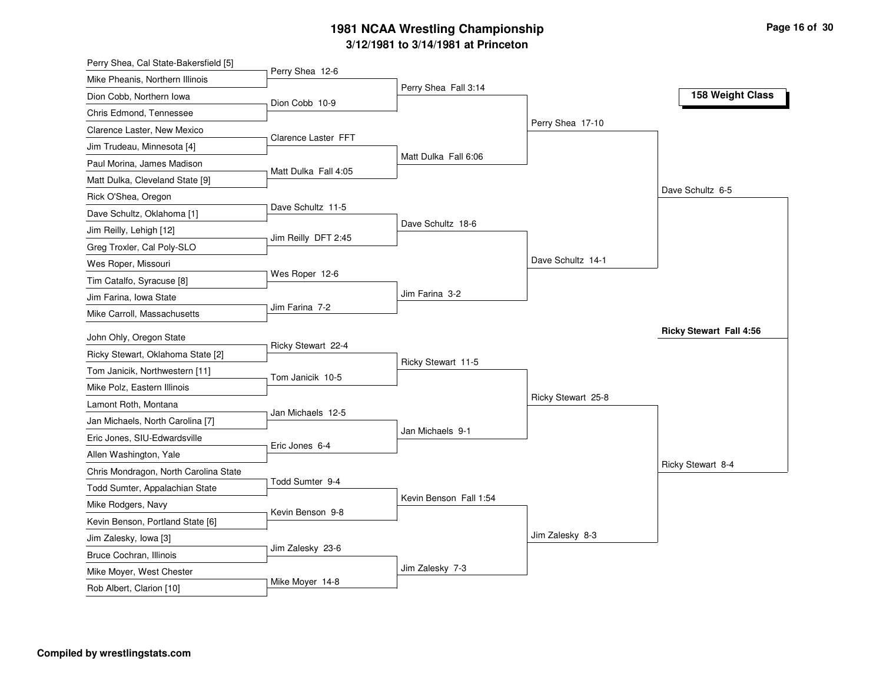## **3/12/1981 to 3/14/1981 at Princeton 1981 NCAA Wrestling Championship Page <sup>16</sup> of <sup>30</sup>**

| Perry Shea, Cal State-Bakersfield [5] | Perry Shea 12-6      |                        |                    |                                |
|---------------------------------------|----------------------|------------------------|--------------------|--------------------------------|
| Mike Pheanis, Northern Illinois       |                      | Perry Shea Fall 3:14   |                    |                                |
| Dion Cobb, Northern Iowa              | Dion Cobb 10-9       |                        |                    | 158 Weight Class               |
| Chris Edmond, Tennessee               |                      |                        |                    |                                |
| Clarence Laster, New Mexico           | Clarence Laster FFT  |                        | Perry Shea 17-10   |                                |
| Jim Trudeau, Minnesota [4]            |                      |                        |                    |                                |
| Paul Morina, James Madison            | Matt Dulka Fall 4:05 | Matt Dulka Fall 6:06   |                    |                                |
| Matt Dulka, Cleveland State [9]       |                      |                        |                    |                                |
| Rick O'Shea, Oregon                   |                      |                        |                    | Dave Schultz 6-5               |
| Dave Schultz, Oklahoma [1]            | Dave Schultz 11-5    |                        |                    |                                |
| Jim Reilly, Lehigh [12]               |                      | Dave Schultz 18-6      |                    |                                |
| Greg Troxler, Cal Poly-SLO            | Jim Reilly DFT 2:45  |                        |                    |                                |
| Wes Roper, Missouri                   |                      |                        | Dave Schultz 14-1  |                                |
| Tim Catalfo, Syracuse [8]             | Wes Roper 12-6       |                        |                    |                                |
| Jim Farina, Iowa State                |                      | Jim Farina 3-2         |                    |                                |
| Mike Carroll, Massachusetts           | Jim Farina 7-2       |                        |                    |                                |
| John Ohly, Oregon State               |                      |                        |                    | <b>Ricky Stewart Fall 4:56</b> |
| Ricky Stewart, Oklahoma State [2]     | Ricky Stewart 22-4   |                        |                    |                                |
|                                       |                      | Ricky Stewart 11-5     |                    |                                |
| Tom Janicik, Northwestern [11]        | Tom Janicik 10-5     |                        |                    |                                |
| Mike Polz, Eastern Illinois           |                      |                        | Ricky Stewart 25-8 |                                |
| Lamont Roth, Montana                  | Jan Michaels 12-5    |                        |                    |                                |
| Jan Michaels, North Carolina [7]      |                      | Jan Michaels 9-1       |                    |                                |
| Eric Jones, SIU-Edwardsville          | Eric Jones 6-4       |                        |                    |                                |
| Allen Washington, Yale                |                      |                        |                    | Ricky Stewart 8-4              |
| Chris Mondragon, North Carolina State | Todd Sumter 9-4      |                        |                    |                                |
| Todd Sumter, Appalachian State        |                      | Kevin Benson Fall 1:54 |                    |                                |
| Mike Rodgers, Navy                    | Kevin Benson 9-8     |                        |                    |                                |
| Kevin Benson, Portland State [6]      |                      |                        |                    |                                |
| Jim Zalesky, Iowa [3]                 | Jim Zalesky 23-6     |                        | Jim Zalesky 8-3    |                                |
| Bruce Cochran, Illinois               |                      |                        |                    |                                |
| Mike Moyer, West Chester              | Mike Moyer 14-8      | Jim Zalesky 7-3        |                    |                                |
| Rob Albert, Clarion [10]              |                      |                        |                    |                                |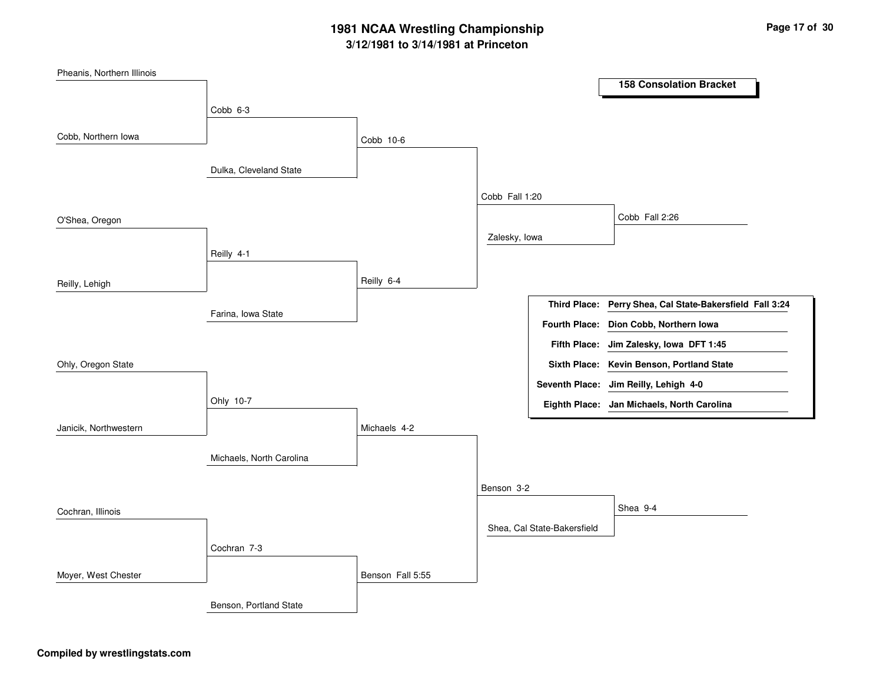#### **3/12/1981 to 3/14/1981 at Princeton 1981 NCAA Wrestling Championship Page <sup>17</sup> of <sup>30</sup>**

| Pheanis, Northern Illinois |                          |                  |                |                             |                                             |
|----------------------------|--------------------------|------------------|----------------|-----------------------------|---------------------------------------------|
|                            |                          |                  |                |                             | <b>158 Consolation Bracket</b>              |
|                            | Cobb 6-3                 |                  |                |                             |                                             |
|                            |                          |                  |                |                             |                                             |
| Cobb, Northern Iowa        |                          | Cobb 10-6        |                |                             |                                             |
|                            |                          |                  |                |                             |                                             |
|                            | Dulka, Cleveland State   |                  |                |                             |                                             |
|                            |                          |                  | Cobb Fall 1:20 |                             |                                             |
| O'Shea, Oregon             |                          |                  |                |                             | Cobb Fall 2:26                              |
|                            |                          |                  | Zalesky, lowa  |                             |                                             |
|                            | Reilly 4-1               |                  |                |                             |                                             |
|                            |                          |                  |                |                             |                                             |
| Reilly, Lehigh             |                          | Reilly 6-4       |                |                             |                                             |
|                            |                          |                  |                | <b>Third Place:</b>         | Perry Shea, Cal State-Bakersfield Fall 3:24 |
|                            | Farina, Iowa State       |                  |                | <b>Fourth Place:</b>        | Dion Cobb, Northern Iowa                    |
|                            |                          |                  |                | <b>Fifth Place:</b>         | Jim Zalesky, Iowa DFT 1:45                  |
| Ohly, Oregon State         |                          |                  |                |                             | Sixth Place: Kevin Benson, Portland State   |
|                            |                          |                  |                |                             |                                             |
|                            |                          |                  |                | <b>Seventh Place:</b>       | Jim Reilly, Lehigh 4-0                      |
|                            | Ohly 10-7                |                  |                |                             | Eighth Place: Jan Michaels, North Carolina  |
| Janicik, Northwestern      |                          | Michaels 4-2     |                |                             |                                             |
|                            |                          |                  |                |                             |                                             |
|                            | Michaels, North Carolina |                  |                |                             |                                             |
|                            |                          |                  | Benson 3-2     |                             |                                             |
|                            |                          |                  |                |                             |                                             |
| Cochran, Illinois          |                          |                  |                |                             | Shea 9-4                                    |
|                            |                          |                  |                | Shea, Cal State-Bakersfield |                                             |
|                            | Cochran 7-3              |                  |                |                             |                                             |
| Moyer, West Chester        |                          | Benson Fall 5:55 |                |                             |                                             |
|                            |                          |                  |                |                             |                                             |
|                            | Benson, Portland State   |                  |                |                             |                                             |
|                            |                          |                  |                |                             |                                             |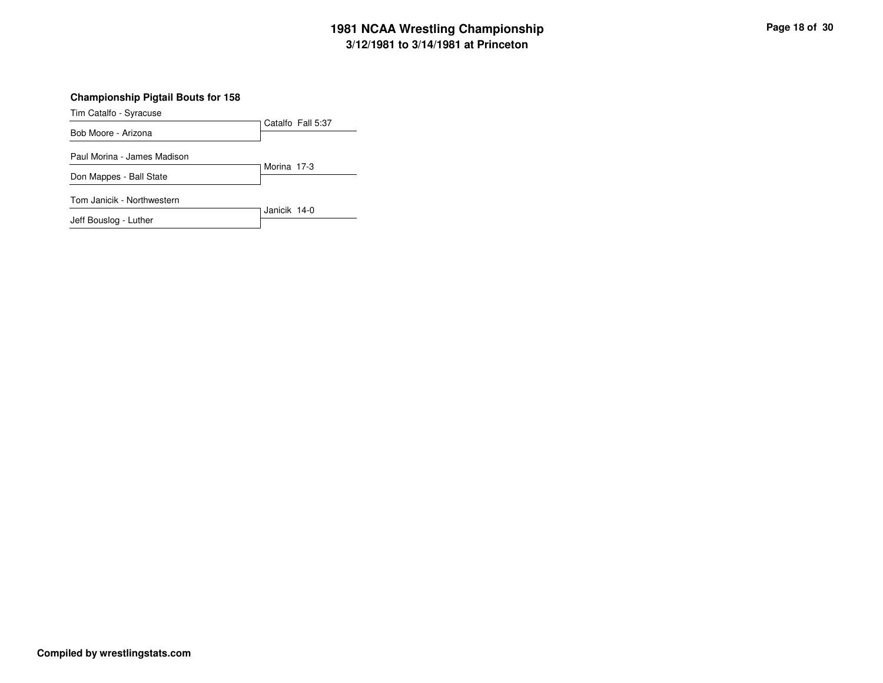### **3/12/1981 to 3/14/1981 at Princeton 1981 NCAA Wrestling Championship Page <sup>18</sup> of <sup>30</sup>**

#### **Championship Pigtail Bouts for 158**

Tim Catalfo - Syracuse

Catalfo Fall 5:37 Bob Moore - Arizona Morina 17-3 Paul Morina - James Madison Don Mappes - Ball State

Tom Janicik - Northwestern

Janicik 14-0 Jeff Bouslog - Luther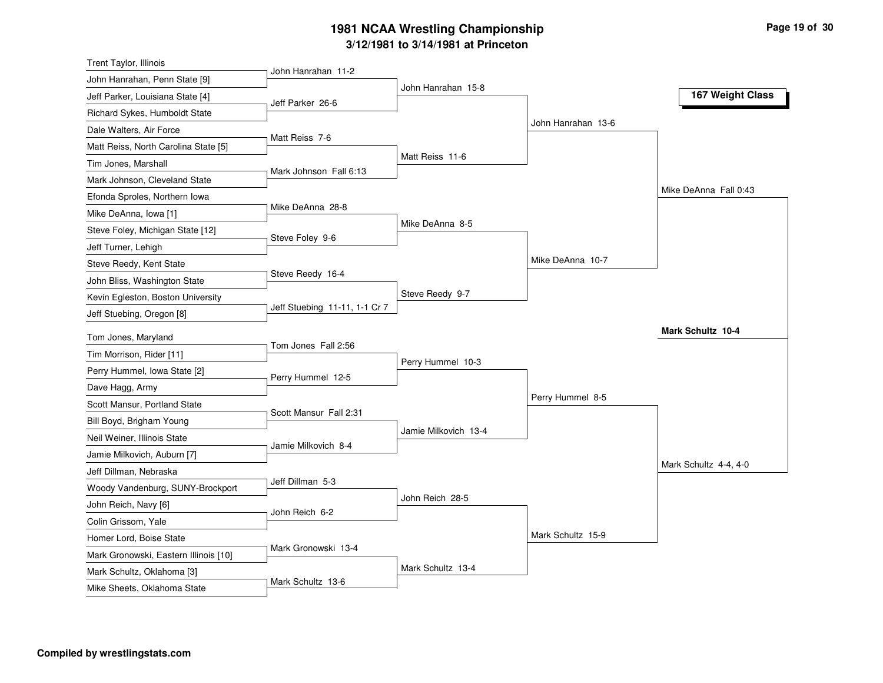## **3/12/1981 to 3/14/1981 at Princeton 1981 NCAA Wrestling Championship Page <sup>19</sup> of <sup>30</sup>**

| Trent Taylor, Illinois                                |                               |                      |                    |                          |
|-------------------------------------------------------|-------------------------------|----------------------|--------------------|--------------------------|
| John Hanrahan, Penn State [9]                         | John Hanrahan 11-2            | John Hanrahan 15-8   |                    |                          |
| Jeff Parker, Louisiana State [4]                      | Jeff Parker 26-6              |                      |                    | 167 Weight Class         |
| <b>Richard Sykes, Humboldt State</b>                  |                               |                      |                    |                          |
| Dale Walters, Air Force                               |                               |                      | John Hanrahan 13-6 |                          |
| Matt Reiss, North Carolina State [5]                  | Matt Reiss 7-6                |                      |                    |                          |
| Tim Jones, Marshall                                   |                               | Matt Reiss 11-6      |                    |                          |
| Mark Johnson, Cleveland State                         | Mark Johnson Fall 6:13        |                      |                    |                          |
| Efonda Sproles, Northern Iowa                         |                               |                      |                    | Mike DeAnna Fall 0:43    |
| Mike DeAnna, Iowa [1]                                 | Mike DeAnna 28-8              |                      |                    |                          |
| Steve Foley, Michigan State [12]                      | Steve Foley 9-6               | Mike DeAnna 8-5      |                    |                          |
| Jeff Turner, Lehigh                                   |                               |                      |                    |                          |
| Steve Reedy, Kent State                               |                               |                      | Mike DeAnna 10-7   |                          |
| John Bliss, Washington State                          | Steve Reedy 16-4              |                      |                    |                          |
| Kevin Egleston, Boston University                     |                               | Steve Reedy 9-7      |                    |                          |
| Jeff Stuebing, Oregon [8]                             | Jeff Stuebing 11-11, 1-1 Cr 7 |                      |                    |                          |
| Tom Jones, Maryland                                   |                               |                      |                    | <b>Mark Schultz 10-4</b> |
| Tim Morrison, Rider [11]                              | Tom Jones Fall 2:56           |                      |                    |                          |
| Perry Hummel, Iowa State [2]                          |                               | Perry Hummel 10-3    |                    |                          |
| Dave Hagg, Army                                       | Perry Hummel 12-5             |                      |                    |                          |
| Scott Mansur, Portland State                          |                               |                      | Perry Hummel 8-5   |                          |
| Bill Boyd, Brigham Young                              | Scott Mansur Fall 2:31        |                      |                    |                          |
| Neil Weiner, Illinois State                           |                               | Jamie Milkovich 13-4 |                    |                          |
|                                                       | Jamie Milkovich 8-4           |                      |                    |                          |
| Jamie Milkovich, Auburn [7]<br>Jeff Dillman, Nebraska |                               |                      |                    | Mark Schultz 4-4, 4-0    |
| Woody Vandenburg, SUNY-Brockport                      | Jeff Dillman 5-3              |                      |                    |                          |
|                                                       |                               | John Reich 28-5      |                    |                          |
| John Reich, Navy [6]<br>Colin Grissom, Yale           | John Reich 6-2                |                      |                    |                          |
| Homer Lord, Boise State                               |                               |                      | Mark Schultz 15-9  |                          |
|                                                       | Mark Gronowski 13-4           |                      |                    |                          |
| Mark Gronowski, Eastern Illinois [10]                 |                               | Mark Schultz 13-4    |                    |                          |
| Mark Schultz, Oklahoma [3]                            | Mark Schultz 13-6             |                      |                    |                          |
| Mike Sheets, Oklahoma State                           |                               |                      |                    |                          |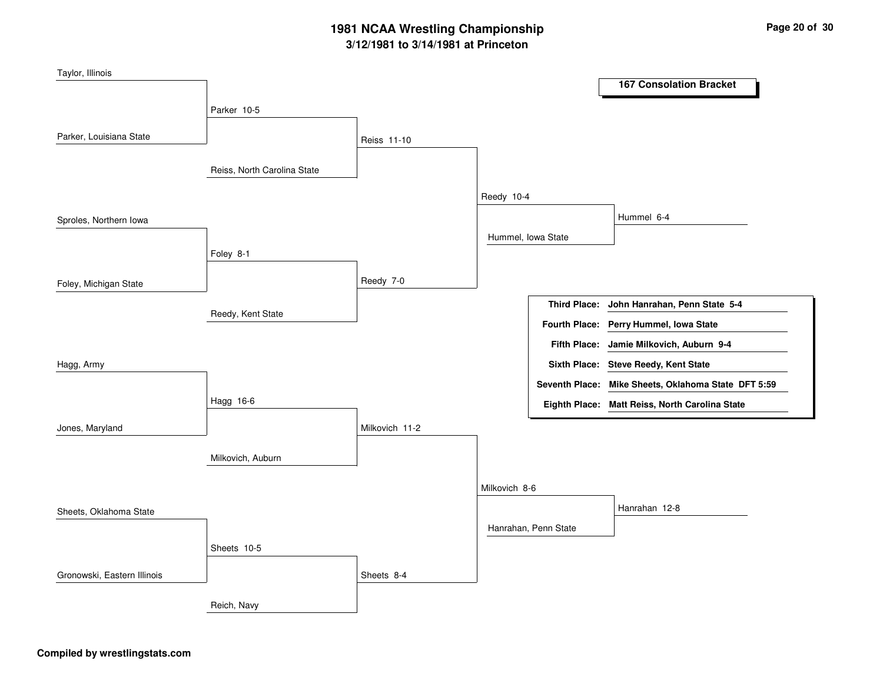## **3/12/1981 to 3/14/1981 at Princeton 1981 NCAA Wrestling Championship Page <sup>20</sup> of <sup>30</sup>**

| Taylor, Illinois            |                             |                |               |                      |                                                     |
|-----------------------------|-----------------------------|----------------|---------------|----------------------|-----------------------------------------------------|
|                             |                             |                |               |                      | <b>167 Consolation Bracket</b>                      |
|                             | Parker 10-5                 |                |               |                      |                                                     |
|                             |                             |                |               |                      |                                                     |
| Parker, Louisiana State     |                             | Reiss 11-10    |               |                      |                                                     |
|                             | Reiss, North Carolina State |                |               |                      |                                                     |
|                             |                             |                | Reedy 10-4    |                      |                                                     |
| Sproles, Northern Iowa      |                             |                |               |                      | Hummel 6-4                                          |
|                             |                             |                |               | Hummel, Iowa State   |                                                     |
|                             | Foley 8-1                   |                |               |                      |                                                     |
| Foley, Michigan State       |                             | Reedy 7-0      |               |                      |                                                     |
|                             | Reedy, Kent State           |                |               | <b>Third Place:</b>  | John Hanrahan, Penn State 5-4                       |
|                             |                             |                |               | <b>Fourth Place:</b> | Perry Hummel, Iowa State                            |
|                             |                             |                |               | <b>Fifth Place:</b>  | Jamie Milkovich, Auburn 9-4                         |
| Hagg, Army                  |                             |                |               |                      | Sixth Place: Steve Reedy, Kent State                |
|                             |                             |                |               |                      | Seventh Place: Mike Sheets, Oklahoma State DFT 5:59 |
|                             | Hagg 16-6                   |                |               |                      | Eighth Place: Matt Reiss, North Carolina State      |
| Jones, Maryland             |                             | Milkovich 11-2 |               |                      |                                                     |
|                             | Milkovich, Auburn           |                |               |                      |                                                     |
|                             |                             |                |               |                      |                                                     |
|                             |                             |                | Milkovich 8-6 |                      |                                                     |
| Sheets, Oklahoma State      |                             |                |               |                      | Hanrahan 12-8                                       |
|                             |                             |                |               | Hanrahan, Penn State |                                                     |
|                             | Sheets 10-5                 |                |               |                      |                                                     |
| Gronowski, Eastern Illinois |                             | Sheets 8-4     |               |                      |                                                     |
|                             | Reich, Navy                 |                |               |                      |                                                     |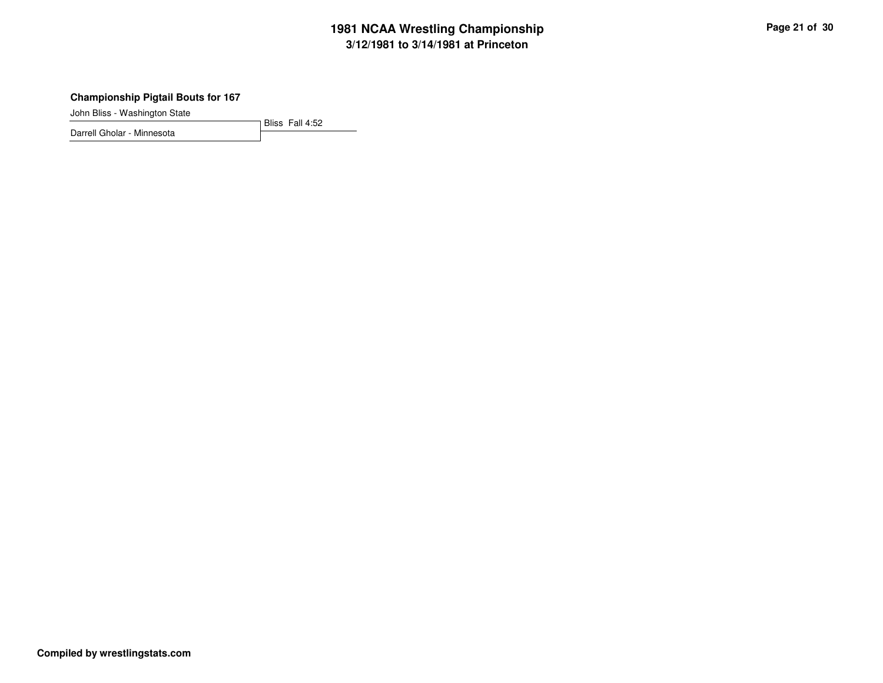# **3/12/1981 to 3/14/1981 at Princeton 1981 NCAA Wrestling Championship Page <sup>21</sup> of <sup>30</sup>**

#### **Championship Pigtail Bouts for 167**

John Bliss - Washington State

Bliss Fall 4:52 Darrell Gholar - Minnesota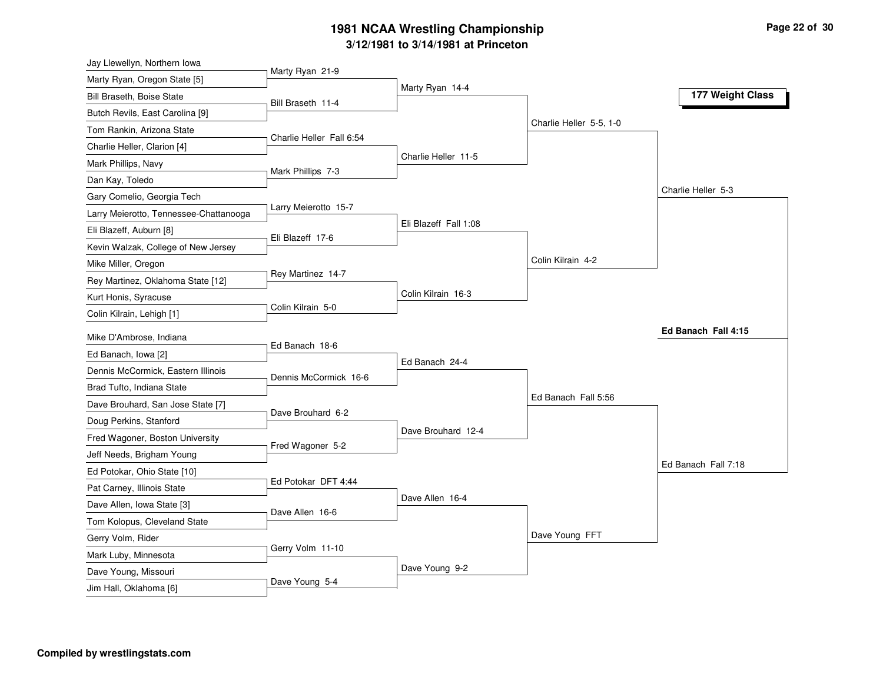## **3/12/1981 to 3/14/1981 at Princeton 1981 NCAA Wrestling Championship Page <sup>22</sup> of <sup>30</sup>**

| Jay Llewellyn, Northern Iowa           |                          |                       |                         |                     |
|----------------------------------------|--------------------------|-----------------------|-------------------------|---------------------|
| Marty Ryan, Oregon State [5]           | Marty Ryan 21-9          |                       |                         |                     |
| Bill Braseth, Boise State              | Bill Braseth 11-4        | Marty Ryan 14-4       |                         | 177 Weight Class    |
| Butch Revils, East Carolina [9]        |                          |                       |                         |                     |
| Tom Rankin, Arizona State              |                          |                       | Charlie Heller 5-5, 1-0 |                     |
| Charlie Heller, Clarion [4]            | Charlie Heller Fall 6:54 |                       |                         |                     |
| Mark Phillips, Navy                    |                          | Charlie Heller 11-5   |                         |                     |
| Dan Kay, Toledo                        | Mark Phillips 7-3        |                       |                         |                     |
| Gary Comelio, Georgia Tech             |                          |                       |                         | Charlie Heller 5-3  |
| Larry Meierotto, Tennessee-Chattanooga | Larry Meierotto 15-7     |                       |                         |                     |
| Eli Blazeff, Auburn [8]                |                          | Eli Blazeff Fall 1:08 |                         |                     |
| Kevin Walzak, College of New Jersey    | Eli Blazeff 17-6         |                       |                         |                     |
| Mike Miller, Oregon                    |                          |                       | Colin Kilrain 4-2       |                     |
| Rey Martinez, Oklahoma State [12]      | Rey Martinez 14-7        |                       |                         |                     |
| Kurt Honis, Syracuse                   |                          | Colin Kilrain 16-3    |                         |                     |
| Colin Kilrain, Lehigh [1]              | Colin Kilrain 5-0        |                       |                         |                     |
| Mike D'Ambrose, Indiana                |                          |                       |                         | Ed Banach Fall 4:15 |
|                                        | Ed Banach 18-6           |                       |                         |                     |
| Ed Banach, Iowa [2]                    |                          | Ed Banach 24-4        |                         |                     |
| Dennis McCormick, Eastern Illinois     | Dennis McCormick 16-6    |                       |                         |                     |
| Brad Tufto, Indiana State              |                          |                       | Ed Banach Fall 5:56     |                     |
| Dave Brouhard, San Jose State [7]      | Dave Brouhard 6-2        |                       |                         |                     |
| Doug Perkins, Stanford                 |                          | Dave Brouhard 12-4    |                         |                     |
| Fred Wagoner, Boston University        | Fred Wagoner 5-2         |                       |                         |                     |
| Jeff Needs, Brigham Young              |                          |                       |                         | Ed Banach Fall 7:18 |
| Ed Potokar, Ohio State [10]            | Ed Potokar DFT 4:44      |                       |                         |                     |
| Pat Carney, Illinois State             |                          | Dave Allen 16-4       |                         |                     |
| Dave Allen, Iowa State [3]             | Dave Allen 16-6          |                       |                         |                     |
| Tom Kolopus, Cleveland State           |                          |                       | Dave Young FFT          |                     |
| Gerry Volm, Rider                      | Gerry Volm 11-10         |                       |                         |                     |
| Mark Luby, Minnesota                   |                          | Dave Young 9-2        |                         |                     |
| Dave Young, Missouri                   | Dave Young 5-4           |                       |                         |                     |
| Jim Hall, Oklahoma [6]                 |                          |                       |                         |                     |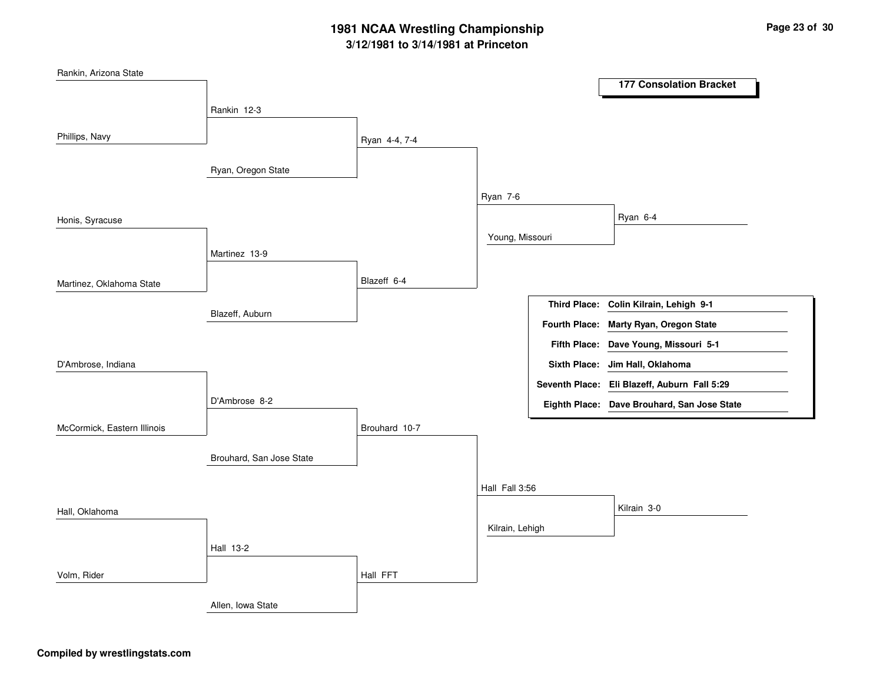#### **3/12/1981 to 3/14/1981 at Princeton 1981 NCAA Wrestling Championship Page <sup>23</sup> of <sup>30</sup>**

| Rankin, Arizona State       |                          |               |                 |                      |                                              |
|-----------------------------|--------------------------|---------------|-----------------|----------------------|----------------------------------------------|
|                             |                          |               |                 |                      | <b>177 Consolation Bracket</b>               |
|                             | Rankin 12-3              |               |                 |                      |                                              |
|                             |                          |               |                 |                      |                                              |
| Phillips, Navy              |                          | Ryan 4-4, 7-4 |                 |                      |                                              |
|                             | Ryan, Oregon State       |               |                 |                      |                                              |
|                             |                          |               |                 |                      |                                              |
|                             |                          |               | Ryan 7-6        |                      |                                              |
| Honis, Syracuse             |                          |               |                 |                      | Ryan 6-4                                     |
|                             |                          |               | Young, Missouri |                      |                                              |
|                             | Martinez 13-9            |               |                 |                      |                                              |
| Martinez, Oklahoma State    |                          | Blazeff 6-4   |                 |                      |                                              |
|                             |                          |               |                 |                      |                                              |
|                             | Blazeff, Auburn          |               |                 | <b>Third Place:</b>  | Colin Kilrain, Lehigh 9-1                    |
|                             |                          |               |                 | <b>Fourth Place:</b> | <b>Marty Ryan, Oregon State</b>              |
|                             |                          |               |                 |                      | Fifth Place: Dave Young, Missouri 5-1        |
| D'Ambrose, Indiana          |                          |               |                 |                      | Sixth Place: Jim Hall, Oklahoma              |
|                             |                          |               |                 |                      | Seventh Place: Eli Blazeff, Auburn Fall 5:29 |
|                             | D'Ambrose 8-2            |               |                 |                      | Eighth Place: Dave Brouhard, San Jose State  |
| McCormick, Eastern Illinois |                          | Brouhard 10-7 |                 |                      |                                              |
|                             |                          |               |                 |                      |                                              |
|                             | Brouhard, San Jose State |               |                 |                      |                                              |
|                             |                          |               | Hall Fall 3:56  |                      |                                              |
|                             |                          |               |                 |                      |                                              |
| Hall, Oklahoma              |                          |               |                 |                      | Kilrain 3-0                                  |
|                             |                          |               | Kilrain, Lehigh |                      |                                              |
|                             | Hall 13-2                |               |                 |                      |                                              |
| Volm, Rider                 |                          | Hall FFT      |                 |                      |                                              |
|                             |                          |               |                 |                      |                                              |
|                             | Allen, Iowa State        |               |                 |                      |                                              |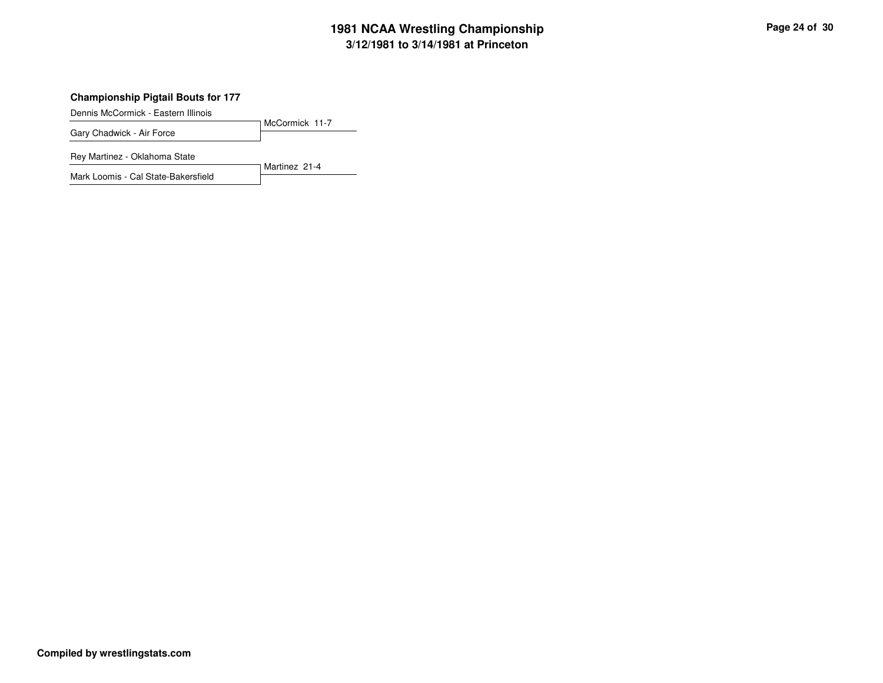## **3/12/1981 to 3/14/1981 at Princeton 1981 NCAA Wrestling Championship Page <sup>24</sup> of <sup>30</sup>**

#### **Championship Pigtail Bouts for 177**

Dennis McCormick - Eastern Illinois

McCormick 11-7 Gary Chadwick - Air Force

Rey Martinez - Oklahoma State

Martinez 21-4 Mark Loomis - Cal State-Bakersfield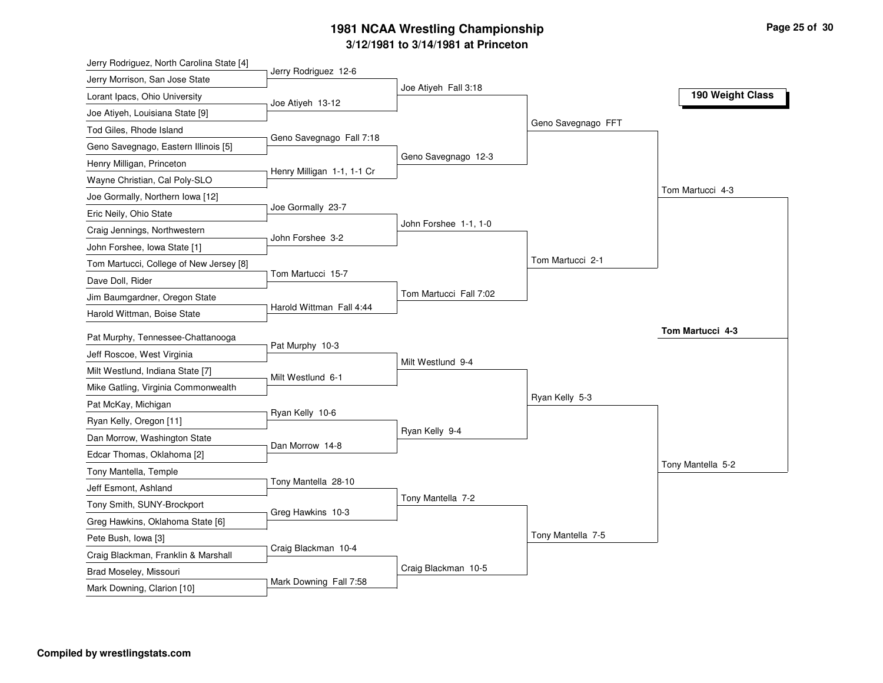## **3/12/19 81 to 3/14/19 81 at Prin c eto n 19 81 N C A A Wre stlin g C h a m pio n s hip**

| Jerry Rodriguez, North Carolina State [4] |                            |                        |                    |                   |
|-------------------------------------------|----------------------------|------------------------|--------------------|-------------------|
| Jerry Morrison, San Jose State            | Jerry Rodriguez 12-6       |                        |                    |                   |
| Lorant Ipacs, Ohio University             | Joe Atiyeh 13-12           | Joe Atiyeh Fall 3:18   |                    | 190 Weight Class  |
| Joe Atiyeh, Louisiana State [9]           |                            |                        |                    |                   |
| Tod Giles, Rhode Island                   |                            |                        | Geno Savegnago FFT |                   |
| Geno Savegnago, Eastern Illinois [5]      | Geno Savegnago Fall 7:18   |                        |                    |                   |
| Henry Milligan, Princeton                 |                            | Geno Savegnago 12-3    |                    |                   |
| Wayne Christian, Cal Poly-SLO             | Henry Milligan 1-1, 1-1 Cr |                        |                    |                   |
| Joe Gormally, Northern Iowa [12]          |                            |                        |                    | Tom Martucci 4-3  |
| Eric Neily, Ohio State                    | Joe Gormally 23-7          |                        |                    |                   |
| Craig Jennings, Northwestern              |                            | John Forshee 1-1, 1-0  |                    |                   |
| John Forshee, Iowa State [1]              | John Forshee 3-2           |                        |                    |                   |
| Tom Martucci, College of New Jersey [8]   |                            |                        | Tom Martucci 2-1   |                   |
| Dave Doll, Rider                          | Tom Martucci 15-7          |                        |                    |                   |
| Jim Baumgardner, Oregon State             |                            | Tom Martucci Fall 7:02 |                    |                   |
| Harold Wittman, Boise State               | Harold Wittman Fall 4:44   |                        |                    |                   |
| Pat Murphy, Tennessee-Chattanooga         |                            |                        |                    | Tom Martucci 4-3  |
| Jeff Roscoe, West Virginia                | Pat Murphy 10-3            |                        |                    |                   |
| Milt Westlund, Indiana State [7]          |                            | Milt Westlund 9-4      |                    |                   |
| Mike Gatling, Virginia Commonwealth       | Milt Westlund 6-1          |                        |                    |                   |
| Pat McKay, Michigan                       |                            |                        | Ryan Kelly 5-3     |                   |
| Ryan Kelly, Oregon [11]                   | Ryan Kelly 10-6            |                        |                    |                   |
| Dan Morrow, Washington State              |                            | Ryan Kelly 9-4         |                    |                   |
| Edcar Thomas, Oklahoma [2]                | Dan Morrow 14-8            |                        |                    |                   |
| Tony Mantella, Temple                     |                            |                        |                    | Tony Mantella 5-2 |
| Jeff Esmont, Ashland                      | Tony Mantella 28-10        |                        |                    |                   |
| Tony Smith, SUNY-Brockport                |                            | Tony Mantella 7-2      |                    |                   |
| Greg Hawkins, Oklahoma State [6]          | Greg Hawkins 10-3          |                        |                    |                   |
| Pete Bush, Iowa [3]                       |                            |                        | Tony Mantella 7-5  |                   |
| Craig Blackman, Franklin & Marshall       | Craig Blackman 10-4        |                        |                    |                   |
| Brad Moseley, Missouri                    |                            | Craig Blackman 10-5    |                    |                   |
| Mark Downing, Clarion [10]                | Mark Downing Fall 7:58     |                        |                    |                   |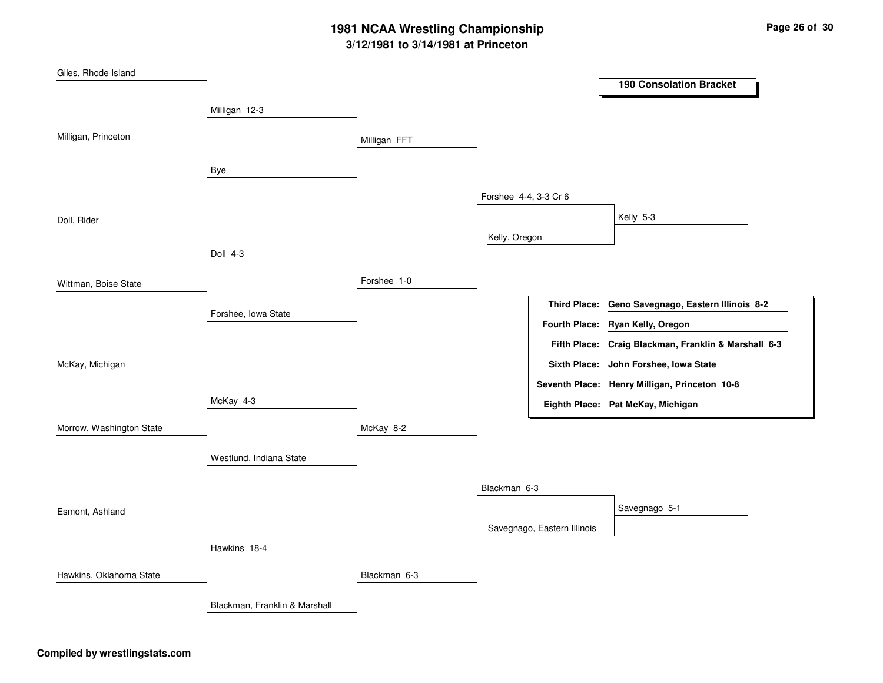#### **3/12/1981 to 3/14/1981 at Princeton 1981 NCAA Wrestling Championship Page <sup>26</sup> of <sup>30</sup>**

| Giles, Rhode Island      |                               |              |                       |                             |                                                      |
|--------------------------|-------------------------------|--------------|-----------------------|-----------------------------|------------------------------------------------------|
|                          |                               |              |                       |                             | <b>190 Consolation Bracket</b>                       |
|                          | Milligan 12-3                 |              |                       |                             |                                                      |
|                          |                               |              |                       |                             |                                                      |
| Milligan, Princeton      |                               | Milligan FFT |                       |                             |                                                      |
|                          |                               |              |                       |                             |                                                      |
|                          | Bye                           |              |                       |                             |                                                      |
|                          |                               |              | Forshee 4-4, 3-3 Cr 6 |                             |                                                      |
| Doll, Rider              |                               |              |                       |                             | Kelly 5-3                                            |
|                          |                               |              | Kelly, Oregon         |                             |                                                      |
|                          | Doll 4-3                      |              |                       |                             |                                                      |
|                          |                               |              |                       |                             |                                                      |
| Wittman, Boise State     |                               | Forshee 1-0  |                       |                             |                                                      |
|                          |                               |              |                       | <b>Third Place:</b>         | Geno Savegnago, Eastern Illinois 8-2                 |
|                          | Forshee, Iowa State           |              |                       | <b>Fourth Place:</b>        | Ryan Kelly, Oregon                                   |
|                          |                               |              |                       |                             | Fifth Place: Craig Blackman, Franklin & Marshall 6-3 |
|                          |                               |              |                       |                             |                                                      |
| McKay, Michigan          |                               |              |                       |                             | Sixth Place: John Forshee, Iowa State                |
|                          |                               |              |                       |                             | Seventh Place: Henry Milligan, Princeton 10-8        |
|                          | McKay 4-3                     |              |                       |                             | Eighth Place: Pat McKay, Michigan                    |
| Morrow, Washington State |                               | McKay 8-2    |                       |                             |                                                      |
|                          |                               |              |                       |                             |                                                      |
|                          | Westlund, Indiana State       |              |                       |                             |                                                      |
|                          |                               |              |                       |                             |                                                      |
|                          |                               |              | Blackman 6-3          |                             |                                                      |
| Esmont, Ashland          |                               |              |                       |                             | Savegnago 5-1                                        |
|                          |                               |              |                       | Savegnago, Eastern Illinois |                                                      |
|                          | Hawkins 18-4                  |              |                       |                             |                                                      |
|                          |                               |              |                       |                             |                                                      |
| Hawkins, Oklahoma State  |                               | Blackman 6-3 |                       |                             |                                                      |
|                          | Blackman, Franklin & Marshall |              |                       |                             |                                                      |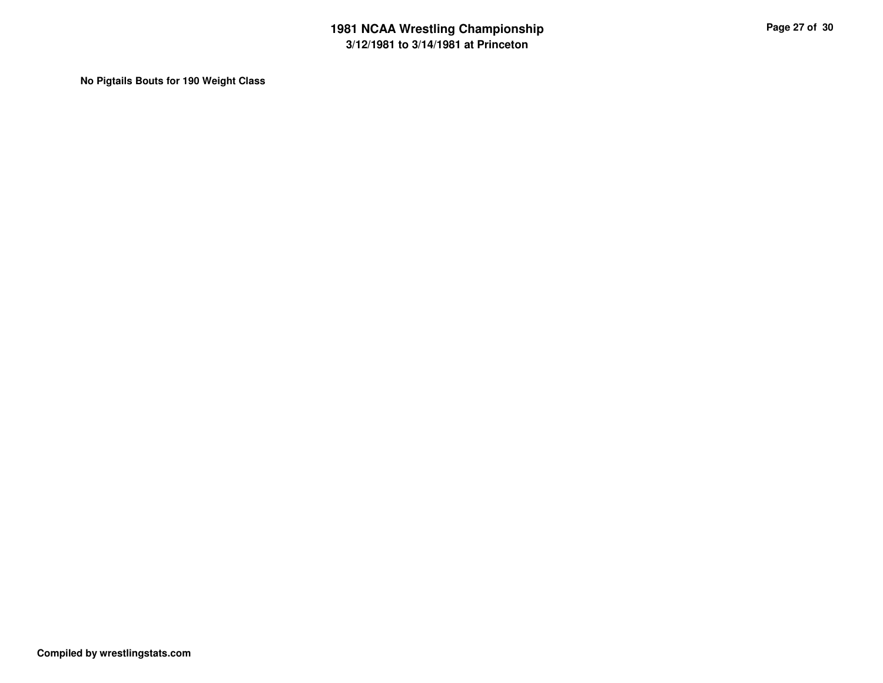**No Pigtails Bouts for 190 Weight Class**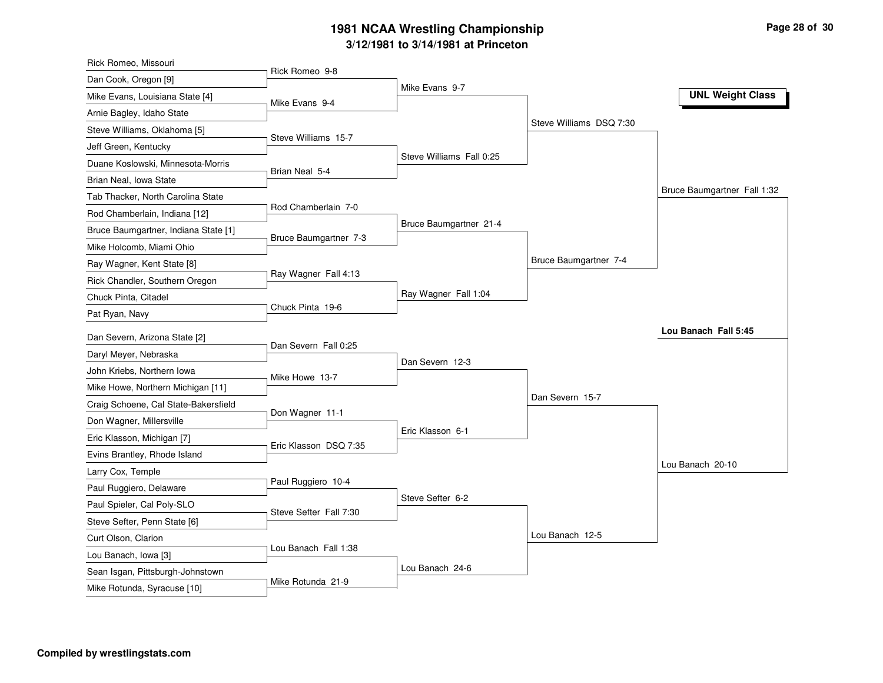### **3/12/1981 to 3/14/1981 at Princeton 1981 NCAA Wrestling Championship Page <sup>28</sup> of <sup>30</sup>**

| Rick Romeo, Missouri                 |                        |                          |                         |                             |
|--------------------------------------|------------------------|--------------------------|-------------------------|-----------------------------|
| Dan Cook, Oregon [9]                 | Rick Romeo 9-8         |                          |                         |                             |
| Mike Evans, Louisiana State [4]      | Mike Evans 9-4         | Mike Evans 9-7           |                         | <b>UNL Weight Class</b>     |
| Arnie Bagley, Idaho State            |                        |                          |                         |                             |
| Steve Williams, Oklahoma [5]         |                        |                          | Steve Williams DSQ 7:30 |                             |
| Jeff Green, Kentucky                 | Steve Williams 15-7    |                          |                         |                             |
| Duane Koslowski, Minnesota-Morris    |                        | Steve Williams Fall 0:25 |                         |                             |
| Brian Neal, Iowa State               | Brian Neal 5-4         |                          |                         |                             |
| Tab Thacker, North Carolina State    |                        |                          |                         | Bruce Baumgartner Fall 1:32 |
| Rod Chamberlain, Indiana [12]        | Rod Chamberlain 7-0    |                          |                         |                             |
| Bruce Baumgartner, Indiana State [1] |                        | Bruce Baumgartner 21-4   |                         |                             |
| Mike Holcomb, Miami Ohio             | Bruce Baumgartner 7-3  |                          |                         |                             |
| Ray Wagner, Kent State [8]           |                        |                          | Bruce Baumgartner 7-4   |                             |
| Rick Chandler, Southern Oregon       | Ray Wagner Fall 4:13   |                          |                         |                             |
| Chuck Pinta, Citadel                 |                        | Ray Wagner Fall 1:04     |                         |                             |
| Pat Ryan, Navy                       | Chuck Pinta 19-6       |                          |                         |                             |
| Dan Severn, Arizona State [2]        |                        |                          |                         | Lou Banach Fall 5:45        |
| Daryl Meyer, Nebraska                | Dan Severn Fall 0:25   |                          |                         |                             |
| John Kriebs, Northern Iowa           |                        | Dan Severn 12-3          |                         |                             |
| Mike Howe, Northern Michigan [11]    | Mike Howe 13-7         |                          |                         |                             |
| Craig Schoene, Cal State-Bakersfield |                        |                          | Dan Severn 15-7         |                             |
| Don Wagner, Millersville             | Don Wagner 11-1        |                          |                         |                             |
| Eric Klasson, Michigan [7]           |                        | Eric Klasson 6-1         |                         |                             |
| Evins Brantley, Rhode Island         | Eric Klasson DSQ 7:35  |                          |                         |                             |
| Larry Cox, Temple                    |                        |                          |                         | Lou Banach 20-10            |
| Paul Ruggiero, Delaware              | Paul Ruggiero 10-4     |                          |                         |                             |
| Paul Spieler, Cal Poly-SLO           |                        | Steve Sefter 6-2         |                         |                             |
| Steve Sefter, Penn State [6]         | Steve Sefter Fall 7:30 |                          |                         |                             |
| Curt Olson, Clarion                  |                        |                          | Lou Banach 12-5         |                             |
| Lou Banach, Iowa [3]                 | Lou Banach Fall 1:38   |                          |                         |                             |
|                                      |                        |                          |                         |                             |
| Sean Isgan, Pittsburgh-Johnstown     |                        | Lou Banach 24-6          |                         |                             |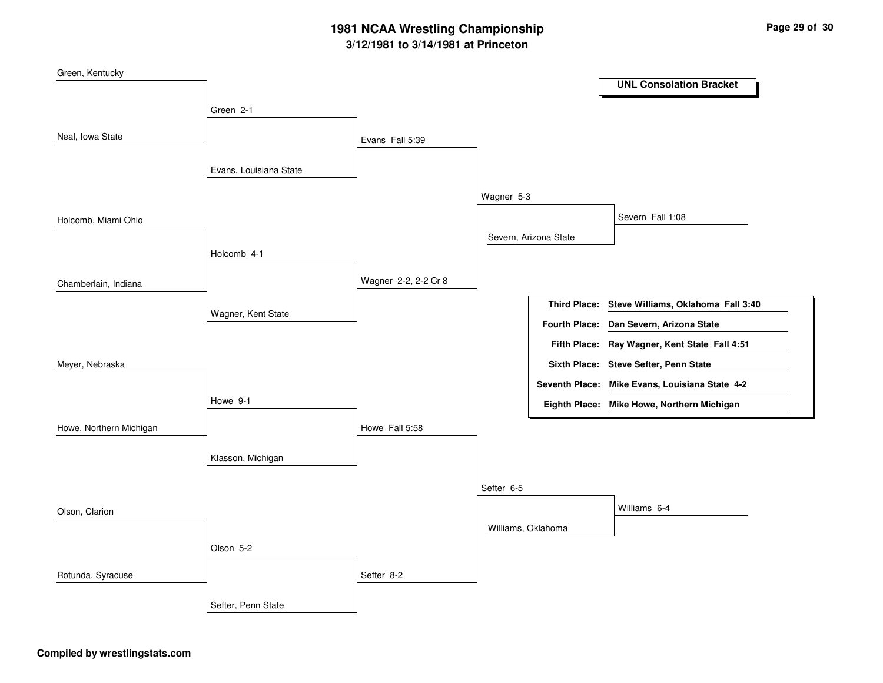## **3/12/1981 to 3/14/1981 at Princeton 1981 NCAA Wrestling Championship Page <sup>29</sup> of <sup>30</sup>**

| Green, Kentucky         |                        |                      |                       |                      | <b>UNL Consolation Bracket</b>                 |
|-------------------------|------------------------|----------------------|-----------------------|----------------------|------------------------------------------------|
|                         |                        |                      |                       |                      |                                                |
|                         | Green 2-1              |                      |                       |                      |                                                |
| Neal, Iowa State        |                        | Evans Fall 5:39      |                       |                      |                                                |
|                         | Evans, Louisiana State |                      |                       |                      |                                                |
|                         |                        |                      | Wagner 5-3            |                      |                                                |
| Holcomb, Miami Ohio     |                        |                      |                       |                      | Severn Fall 1:08                               |
|                         |                        |                      | Severn, Arizona State |                      |                                                |
|                         | Holcomb 4-1            |                      |                       |                      |                                                |
| Chamberlain, Indiana    |                        | Wagner 2-2, 2-2 Cr 8 |                       |                      |                                                |
|                         |                        |                      |                       | <b>Third Place:</b>  | Steve Williams, Oklahoma Fall 3:40             |
|                         | Wagner, Kent State     |                      |                       | <b>Fourth Place:</b> | Dan Severn, Arizona State                      |
|                         |                        |                      |                       |                      | Fifth Place: Ray Wagner, Kent State Fall 4:51  |
| Meyer, Nebraska         |                        |                      |                       |                      | Sixth Place: Steve Sefter, Penn State          |
|                         |                        |                      |                       |                      | Seventh Place: Mike Evans, Louisiana State 4-2 |
|                         | Howe 9-1               |                      |                       |                      | Eighth Place: Mike Howe, Northern Michigan     |
| Howe, Northern Michigan |                        | Howe Fall 5:58       |                       |                      |                                                |
|                         | Klasson, Michigan      |                      |                       |                      |                                                |
|                         |                        |                      | Sefter 6-5            |                      |                                                |
|                         |                        |                      |                       |                      | Williams 6-4                                   |
| Olson, Clarion          |                        |                      | Williams, Oklahoma    |                      |                                                |
|                         | Olson 5-2              |                      |                       |                      |                                                |
| Rotunda, Syracuse       |                        | Sefter 8-2           |                       |                      |                                                |
|                         | Sefter, Penn State     |                      |                       |                      |                                                |